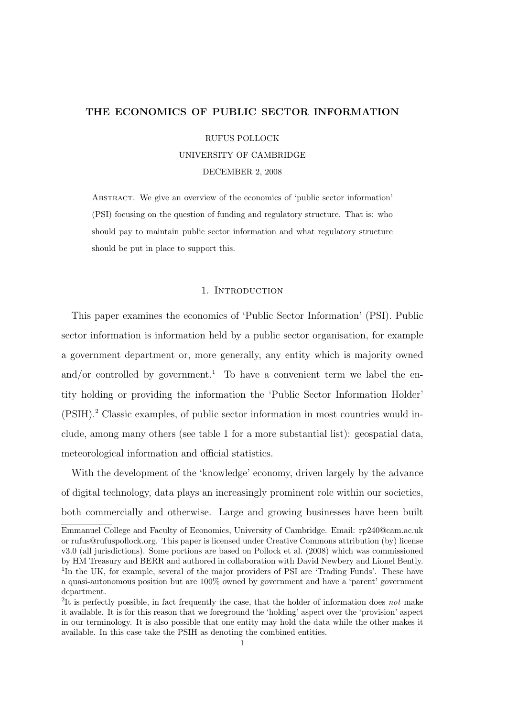# THE ECONOMICS OF PUBLIC SECTOR INFORMATION

RUFUS POLLOCK

#### UNIVERSITY OF CAMBRIDGE

DECEMBER 2, 2008

Abstract. We give an overview of the economics of 'public sector information' (PSI) focusing on the question of funding and regulatory structure. That is: who should pay to maintain public sector information and what regulatory structure should be put in place to support this.

### 1. INTRODUCTION

This paper examines the economics of 'Public Sector Information' (PSI). Public sector information is information held by a public sector organisation, for example a government department or, more generally, any entity which is majority owned and/or controlled by government.<sup>1</sup> To have a convenient term we label the entity holding or providing the information the 'Public Sector Information Holder' (PSIH).<sup>2</sup> Classic examples, of public sector information in most countries would include, among many others (see table 1 for a more substantial list): geospatial data, meteorological information and official statistics.

With the development of the 'knowledge' economy, driven largely by the advance of digital technology, data plays an increasingly prominent role within our societies, both commercially and otherwise. Large and growing businesses have been built

Emmanuel College and Faculty of Economics, University of Cambridge. Email: rp240@cam.ac.uk or rufus@rufuspollock.org. This paper is licensed under Creative Commons attribution (by) license v3.0 (all jurisdictions). Some portions are based on Pollock et al. (2008) which was commissioned by HM Treasury and BERR and authored in collaboration with David Newbery and Lionel Bently. <sup>1</sup>In the UK, for example, several of the major providers of PSI are 'Trading Funds'. These have a quasi-autonomous position but are 100% owned by government and have a 'parent' government department.

<sup>&</sup>lt;sup>2</sup>It is perfectly possible, in fact frequently the case, that the holder of information does not make it available. It is for this reason that we foreground the 'holding' aspect over the 'provision' aspect in our terminology. It is also possible that one entity may hold the data while the other makes it available. In this case take the PSIH as denoting the combined entities.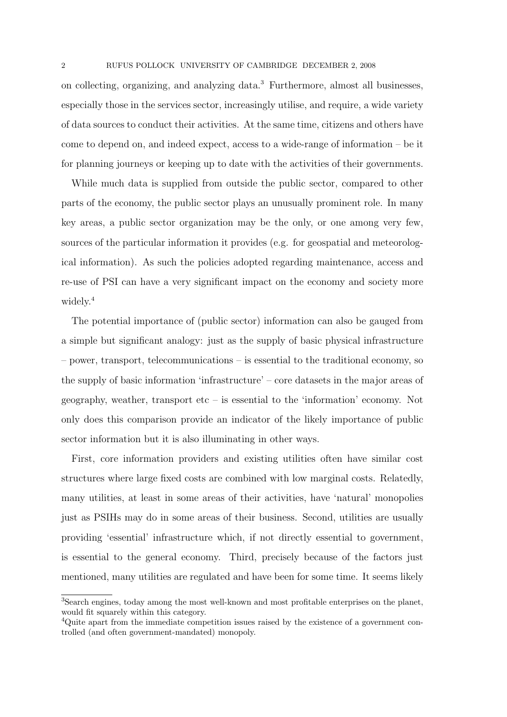on collecting, organizing, and analyzing data.<sup>3</sup> Furthermore, almost all businesses, especially those in the services sector, increasingly utilise, and require, a wide variety of data sources to conduct their activities. At the same time, citizens and others have come to depend on, and indeed expect, access to a wide-range of information – be it for planning journeys or keeping up to date with the activities of their governments.

While much data is supplied from outside the public sector, compared to other parts of the economy, the public sector plays an unusually prominent role. In many key areas, a public sector organization may be the only, or one among very few, sources of the particular information it provides (e.g. for geospatial and meteorological information). As such the policies adopted regarding maintenance, access and re-use of PSI can have a very significant impact on the economy and society more widely.<sup>4</sup>

The potential importance of (public sector) information can also be gauged from a simple but significant analogy: just as the supply of basic physical infrastructure – power, transport, telecommunications – is essential to the traditional economy, so the supply of basic information 'infrastructure' – core datasets in the major areas of  $geography$ , weather, transport etc – is essential to the 'information' economy. Not only does this comparison provide an indicator of the likely importance of public sector information but it is also illuminating in other ways.

First, core information providers and existing utilities often have similar cost structures where large fixed costs are combined with low marginal costs. Relatedly, many utilities, at least in some areas of their activities, have 'natural' monopolies just as PSIHs may do in some areas of their business. Second, utilities are usually providing 'essential' infrastructure which, if not directly essential to government, is essential to the general economy. Third, precisely because of the factors just mentioned, many utilities are regulated and have been for some time. It seems likely

<sup>3</sup>Search engines, today among the most well-known and most profitable enterprises on the planet, would fit squarely within this category.

<sup>&</sup>lt;sup>4</sup>Quite apart from the immediate competition issues raised by the existence of a government controlled (and often government-mandated) monopoly.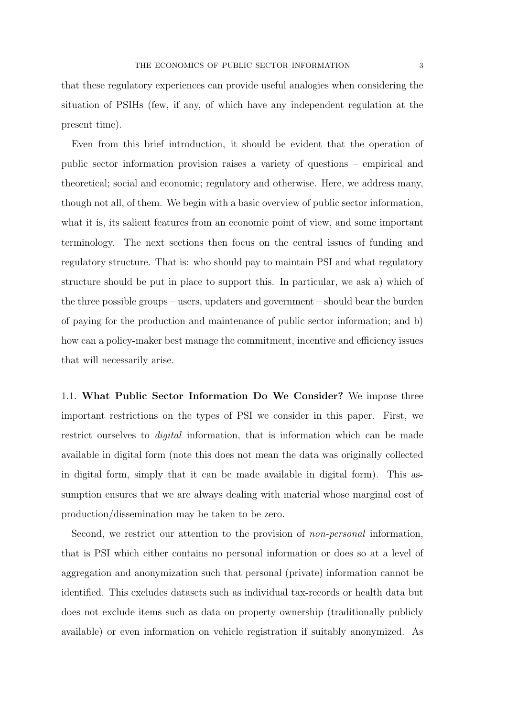that these regulatory experiences can provide useful analogies when considering the situation of PSIHs (few, if any, of which have any independent regulation at the present time).

Even from this brief introduction, it should be evident that the operation of public sector information provision raises a variety of questions – empirical and theoretical; social and economic; regulatory and otherwise. Here, we address many, though not all, of them. We begin with a basic overview of public sector information, what it is, its salient features from an economic point of view, and some important terminology. The next sections then focus on the central issues of funding and regulatory structure. That is: who should pay to maintain PSI and what regulatory structure should be put in place to support this. In particular, we ask a) which of the three possible groups – users, updaters and government – should bear the burden of paying for the production and maintenance of public sector information; and b) how can a policy-maker best manage the commitment, incentive and efficiency issues that will necessarily arise.

1.1. What Public Sector Information Do We Consider? We impose three important restrictions on the types of PSI we consider in this paper. First, we restrict ourselves to *digital* information, that is information which can be made available in digital form (note this does not mean the data was originally collected in digital form, simply that it can be made available in digital form). This assumption ensures that we are always dealing with material whose marginal cost of production/dissemination may be taken to be zero.

Second, we restrict our attention to the provision of non-personal information, that is PSI which either contains no personal information or does so at a level of aggregation and anonymization such that personal (private) information cannot be identified. This excludes datasets such as individual tax-records or health data but does not exclude items such as data on property ownership (traditionally publicly available) or even information on vehicle registration if suitably anonymized. As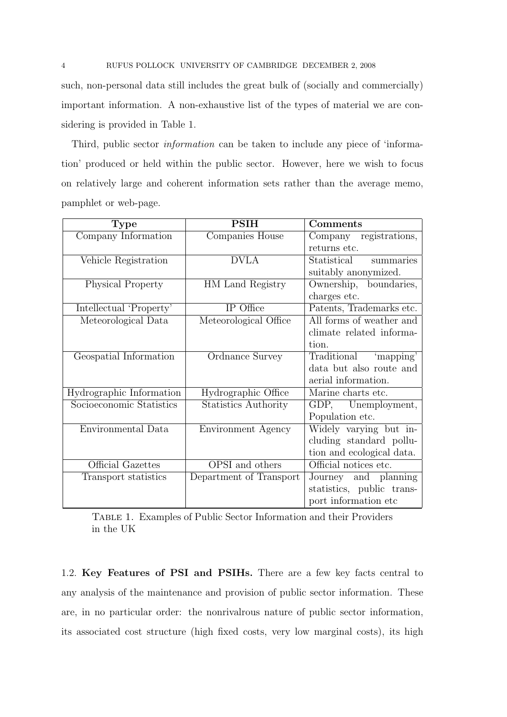such, non-personal data still includes the great bulk of (socially and commercially) important information. A non-exhaustive list of the types of material we are considering is provided in Table 1.

Third, public sector information can be taken to include any piece of 'information' produced or held within the public sector. However, here we wish to focus on relatively large and coherent information sets rather than the average memo, pamphlet or web-page.

| <b>Type</b>              | <b>PSIH</b>                 | Comments                  |
|--------------------------|-----------------------------|---------------------------|
| Company Information      | Companies House             | Company registrations,    |
|                          |                             | returns etc.              |
| Vehicle Registration     | <b>DVLA</b>                 | Statistical<br>summaries  |
|                          |                             | suitably anonymized.      |
| <b>Physical Property</b> | HM Land Registry            | Ownership, boundaries,    |
|                          |                             | charges etc.              |
| Intellectual 'Property'  | IP Office                   | Patents, Trademarks etc.  |
| Meteorological Data      | Meteorological Office       | All forms of weather and  |
|                          |                             | climate related informa-  |
|                          |                             | tion.                     |
| Geospatial Information   | Ordnance Survey             | Traditional 'mapping'     |
|                          |                             | data but also route and   |
|                          |                             | aerial information.       |
| Hydrographic Information | Hydrographic Office         | Marine charts etc.        |
| Socioeconomic Statistics | <b>Statistics Authority</b> | GDP, Unemployment,        |
|                          |                             | Population etc.           |
| Environmental Data       | Environment Agency          | Widely varying but in-    |
|                          |                             | cluding standard pollu-   |
|                          |                             | tion and ecological data. |
| Official Gazettes        | OPSI and others             | Official notices etc.     |
| Transport statistics     | Department of Transport     | Journey and planning      |
|                          |                             | statistics, public trans- |
|                          |                             | port information etc.     |

Table 1. Examples of Public Sector Information and their Providers in the UK

1.2. Key Features of PSI and PSIHs. There are a few key facts central to any analysis of the maintenance and provision of public sector information. These are, in no particular order: the nonrivalrous nature of public sector information, its associated cost structure (high fixed costs, very low marginal costs), its high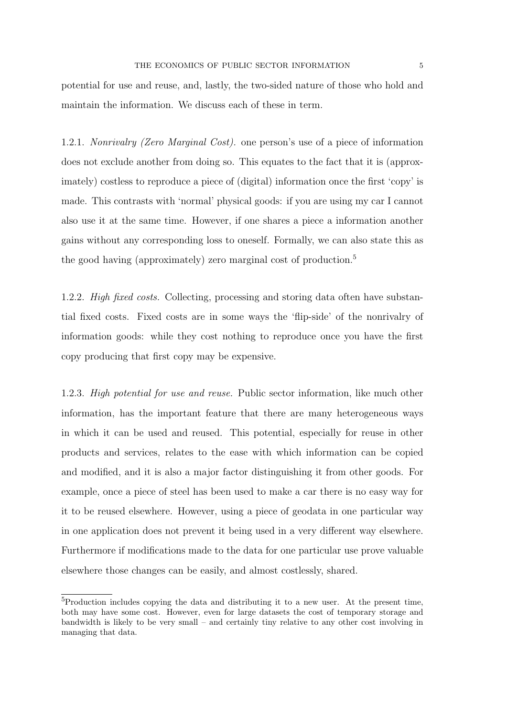potential for use and reuse, and, lastly, the two-sided nature of those who hold and maintain the information. We discuss each of these in term.

1.2.1. Nonrivalry (Zero Marginal Cost). one person's use of a piece of information does not exclude another from doing so. This equates to the fact that it is (approximately) costless to reproduce a piece of (digital) information once the first 'copy' is made. This contrasts with 'normal' physical goods: if you are using my car I cannot also use it at the same time. However, if one shares a piece a information another gains without any corresponding loss to oneself. Formally, we can also state this as the good having (approximately) zero marginal cost of production.<sup>5</sup>

1.2.2. High fixed costs. Collecting, processing and storing data often have substantial fixed costs. Fixed costs are in some ways the 'flip-side' of the nonrivalry of information goods: while they cost nothing to reproduce once you have the first copy producing that first copy may be expensive.

1.2.3. High potential for use and reuse. Public sector information, like much other information, has the important feature that there are many heterogeneous ways in which it can be used and reused. This potential, especially for reuse in other products and services, relates to the ease with which information can be copied and modified, and it is also a major factor distinguishing it from other goods. For example, once a piece of steel has been used to make a car there is no easy way for it to be reused elsewhere. However, using a piece of geodata in one particular way in one application does not prevent it being used in a very different way elsewhere. Furthermore if modifications made to the data for one particular use prove valuable elsewhere those changes can be easily, and almost costlessly, shared.

<sup>5</sup>Production includes copying the data and distributing it to a new user. At the present time, both may have some cost. However, even for large datasets the cost of temporary storage and bandwidth is likely to be very small – and certainly tiny relative to any other cost involving in managing that data.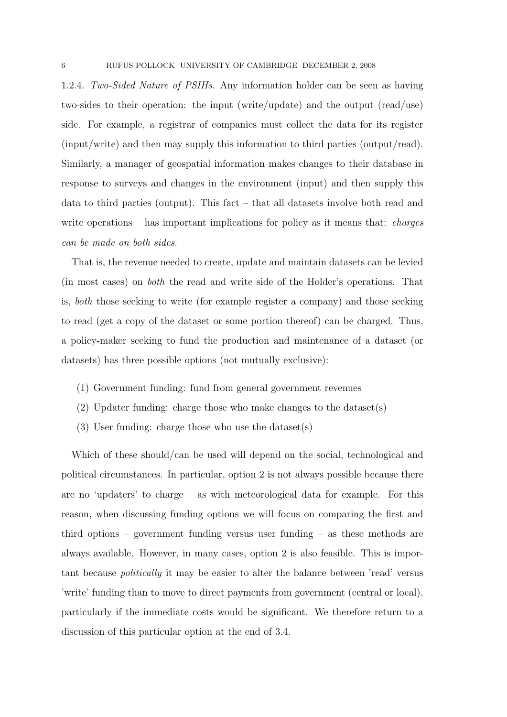1.2.4. Two-Sided Nature of PSIHs. Any information holder can be seen as having two-sides to their operation: the input (write/update) and the output (read/use) side. For example, a registrar of companies must collect the data for its register (input/write) and then may supply this information to third parties (output/read). Similarly, a manager of geospatial information makes changes to their database in response to surveys and changes in the environment (input) and then supply this data to third parties (output). This fact – that all datasets involve both read and write operations – has important implications for policy as it means that: *charges* can be made on both sides.

That is, the revenue needed to create, update and maintain datasets can be levied (in most cases) on both the read and write side of the Holder's operations. That is, both those seeking to write (for example register a company) and those seeking to read (get a copy of the dataset or some portion thereof) can be charged. Thus, a policy-maker seeking to fund the production and maintenance of a dataset (or datasets) has three possible options (not mutually exclusive):

- (1) Government funding: fund from general government revenues
- (2) Updater funding: charge those who make changes to the dataset(s)
- (3) User funding: charge those who use the dataset(s)

Which of these should/can be used will depend on the social, technological and political circumstances. In particular, option 2 is not always possible because there are no 'updaters' to charge – as with meteorological data for example. For this reason, when discussing funding options we will focus on comparing the first and third options – government funding versus user funding – as these methods are always available. However, in many cases, option 2 is also feasible. This is important because politically it may be easier to alter the balance between 'read' versus 'write' funding than to move to direct payments from government (central or local), particularly if the immediate costs would be significant. We therefore return to a discussion of this particular option at the end of 3.4.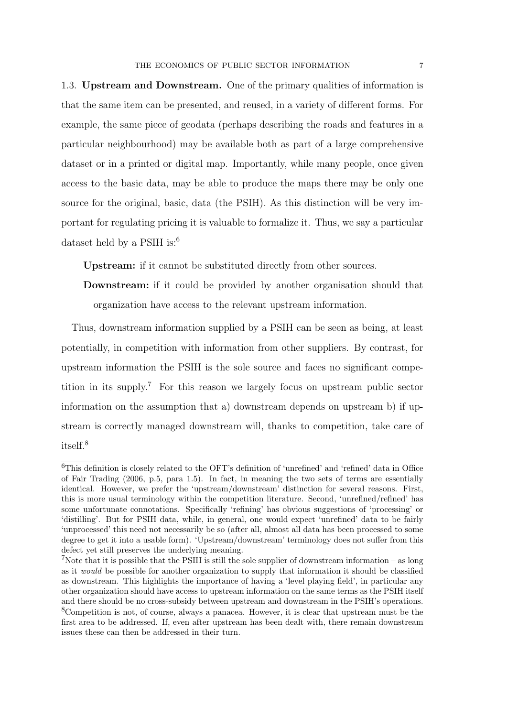1.3. Upstream and Downstream. One of the primary qualities of information is that the same item can be presented, and reused, in a variety of different forms. For example, the same piece of geodata (perhaps describing the roads and features in a particular neighbourhood) may be available both as part of a large comprehensive dataset or in a printed or digital map. Importantly, while many people, once given access to the basic data, may be able to produce the maps there may be only one source for the original, basic, data (the PSIH). As this distinction will be very important for regulating pricing it is valuable to formalize it. Thus, we say a particular dataset held by a PSIH is:<sup>6</sup>

Upstream: if it cannot be substituted directly from other sources.

Downstream: if it could be provided by another organisation should that organization have access to the relevant upstream information.

Thus, downstream information supplied by a PSIH can be seen as being, at least potentially, in competition with information from other suppliers. By contrast, for upstream information the PSIH is the sole source and faces no significant competition in its supply.<sup>7</sup> For this reason we largely focus on upstream public sector information on the assumption that a) downstream depends on upstream b) if upstream is correctly managed downstream will, thanks to competition, take care of itself.<sup>8</sup>

<sup>6</sup>This definition is closely related to the OFT's definition of 'unrefined' and 'refined' data in Office of Fair Trading (2006, p.5, para 1.5). In fact, in meaning the two sets of terms are essentially identical. However, we prefer the 'upstream/downstream' distinction for several reasons. First, this is more usual terminology within the competition literature. Second, 'unrefined/refined' has some unfortunate connotations. Specifically 'refining' has obvious suggestions of 'processing' or 'distilling'. But for PSIH data, while, in general, one would expect 'unrefined' data to be fairly 'unprocessed' this need not necessarily be so (after all, almost all data has been processed to some degree to get it into a usable form). 'Upstream/downstream' terminology does not suffer from this defect yet still preserves the underlying meaning.

<sup>&</sup>lt;sup>7</sup>Note that it is possible that the PSIH is still the sole supplier of downstream information – as long as it would be possible for another organization to supply that information it should be classified as downstream. This highlights the importance of having a 'level playing field', in particular any other organization should have access to upstream information on the same terms as the PSIH itself and there should be no cross-subsidy between upstream and downstream in the PSIH's operations. <sup>8</sup>Competition is not, of course, always a panacea. However, it is clear that upstream must be the first area to be addressed. If, even after upstream has been dealt with, there remain downstream issues these can then be addressed in their turn.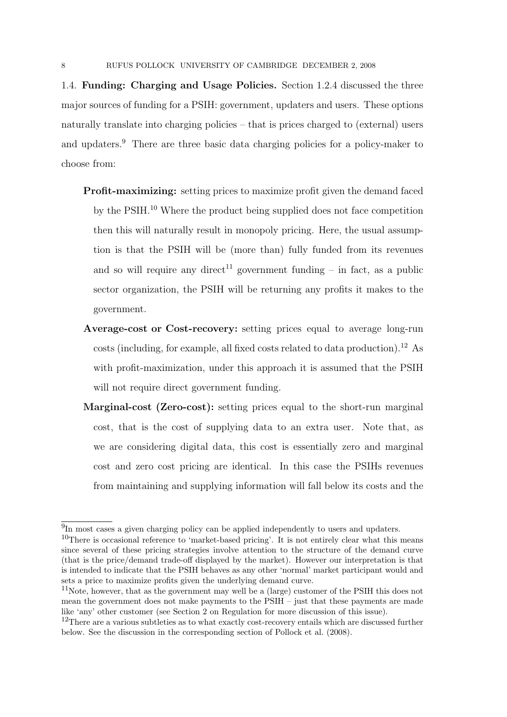1.4. Funding: Charging and Usage Policies. Section 1.2.4 discussed the three major sources of funding for a PSIH: government, updaters and users. These options naturally translate into charging policies – that is prices charged to (external) users and updaters.<sup>9</sup> There are three basic data charging policies for a policy-maker to choose from:

- Profit-maximizing: setting prices to maximize profit given the demand faced by the PSIH.<sup>10</sup> Where the product being supplied does not face competition then this will naturally result in monopoly pricing. Here, the usual assumption is that the PSIH will be (more than) fully funded from its revenues and so will require any direct<sup>11</sup> government funding – in fact, as a public sector organization, the PSIH will be returning any profits it makes to the government.
- Average-cost or Cost-recovery: setting prices equal to average long-run costs (including, for example, all fixed costs related to data production).<sup>12</sup> As with profit-maximization, under this approach it is assumed that the PSIH will not require direct government funding.
- Marginal-cost (Zero-cost): setting prices equal to the short-run marginal cost, that is the cost of supplying data to an extra user. Note that, as we are considering digital data, this cost is essentially zero and marginal cost and zero cost pricing are identical. In this case the PSIHs revenues from maintaining and supplying information will fall below its costs and the

<sup>&</sup>lt;sup>9</sup>In most cases a given charging policy can be applied independently to users and updaters.

 $10$ There is occasional reference to 'market-based pricing'. It is not entirely clear what this means since several of these pricing strategies involve attention to the structure of the demand curve (that is the price/demand trade-off displayed by the market). However our interpretation is that is intended to indicate that the PSIH behaves as any other 'normal' market participant would and sets a price to maximize profits given the underlying demand curve.

 $11$ Note, however, that as the government may well be a (large) customer of the PSIH this does not mean the government does not make payments to the PSIH – just that these payments are made like 'any' other customer (see Section 2 on Regulation for more discussion of this issue).

<sup>&</sup>lt;sup>12</sup>There are a various subtleties as to what exactly cost-recovery entails which are discussed further below. See the discussion in the corresponding section of Pollock et al. (2008).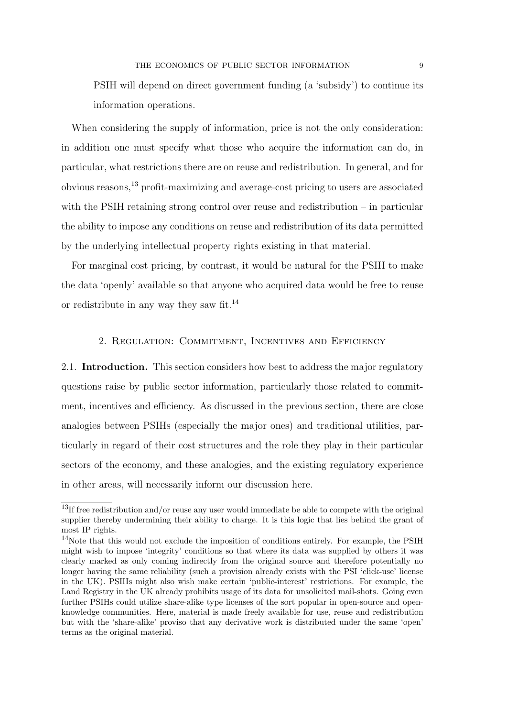PSIH will depend on direct government funding (a 'subsidy') to continue its information operations.

When considering the supply of information, price is not the only consideration: in addition one must specify what those who acquire the information can do, in particular, what restrictions there are on reuse and redistribution. In general, and for obvious reasons,<sup>13</sup> profit-maximizing and average-cost pricing to users are associated with the PSIH retaining strong control over reuse and redistribution – in particular the ability to impose any conditions on reuse and redistribution of its data permitted by the underlying intellectual property rights existing in that material.

For marginal cost pricing, by contrast, it would be natural for the PSIH to make the data 'openly' available so that anyone who acquired data would be free to reuse or redistribute in any way they saw fit.<sup>14</sup>

# 2. Regulation: Commitment, Incentives and Efficiency

2.1. Introduction. This section considers how best to address the major regulatory questions raise by public sector information, particularly those related to commitment, incentives and efficiency. As discussed in the previous section, there are close analogies between PSIHs (especially the major ones) and traditional utilities, particularly in regard of their cost structures and the role they play in their particular sectors of the economy, and these analogies, and the existing regulatory experience in other areas, will necessarily inform our discussion here.

<sup>&</sup>lt;sup>13</sup>If free redistribution and/or reuse any user would immediate be able to compete with the original supplier thereby undermining their ability to charge. It is this logic that lies behind the grant of most IP rights.

<sup>&</sup>lt;sup>14</sup>Note that this would not exclude the imposition of conditions entirely. For example, the PSIH might wish to impose 'integrity' conditions so that where its data was supplied by others it was clearly marked as only coming indirectly from the original source and therefore potentially no longer having the same reliability (such a provision already exists with the PSI 'click-use' license in the UK). PSIHs might also wish make certain 'public-interest' restrictions. For example, the Land Registry in the UK already prohibits usage of its data for unsolicited mail-shots. Going even further PSIHs could utilize share-alike type licenses of the sort popular in open-source and openknowledge communities. Here, material is made freely available for use, reuse and redistribution but with the 'share-alike' proviso that any derivative work is distributed under the same 'open' terms as the original material.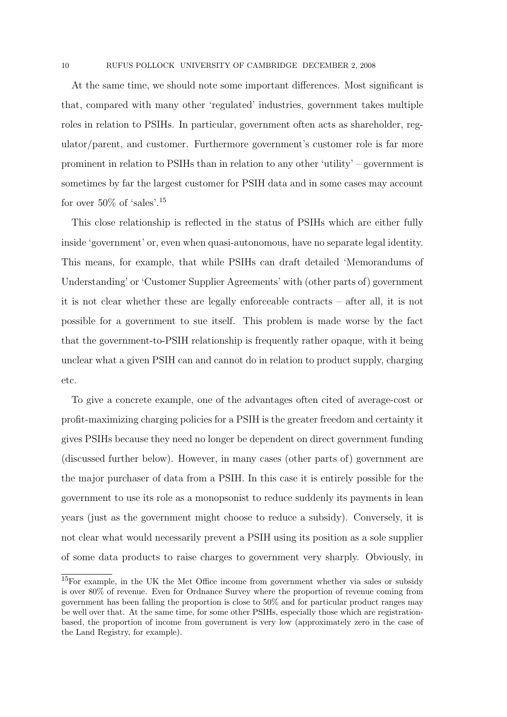At the same time, we should note some important differences. Most significant is that, compared with many other 'regulated' industries, government takes multiple roles in relation to PSIHs. In particular, government often acts as shareholder, regulator/parent, and customer. Furthermore government's customer role is far more prominent in relation to PSIHs than in relation to any other 'utility' – government is sometimes by far the largest customer for PSIH data and in some cases may account for over  $50\%$  of 'sales'.<sup>15</sup>

This close relationship is reflected in the status of PSIHs which are either fully inside 'government' or, even when quasi-autonomous, have no separate legal identity. This means, for example, that while PSIHs can draft detailed 'Memorandums of Understanding' or 'Customer Supplier Agreements' with (other parts of) government it is not clear whether these are legally enforceable contracts – after all, it is not possible for a government to sue itself. This problem is made worse by the fact that the government-to-PSIH relationship is frequently rather opaque, with it being unclear what a given PSIH can and cannot do in relation to product supply, charging etc.

To give a concrete example, one of the advantages often cited of average-cost or profit-maximizing charging policies for a PSIH is the greater freedom and certainty it gives PSIHs because they need no longer be dependent on direct government funding (discussed further below). However, in many cases (other parts of) government are the major purchaser of data from a PSIH. In this case it is entirely possible for the government to use its role as a monopsonist to reduce suddenly its payments in lean years (just as the government might choose to reduce a subsidy). Conversely, it is not clear what would necessarily prevent a PSIH using its position as a sole supplier of some data products to raise charges to government very sharply. Obviously, in

<sup>15</sup>For example, in the UK the Met Office income from government whether via sales or subsidy is over 80% of revenue. Even for Ordnance Survey where the proportion of revenue coming from government has been falling the proportion is close to 50% and for particular product ranges may be well over that. At the same time, for some other PSIHs, especially those which are registrationbased, the proportion of income from government is very low (approximately zero in the case of the Land Registry, for example).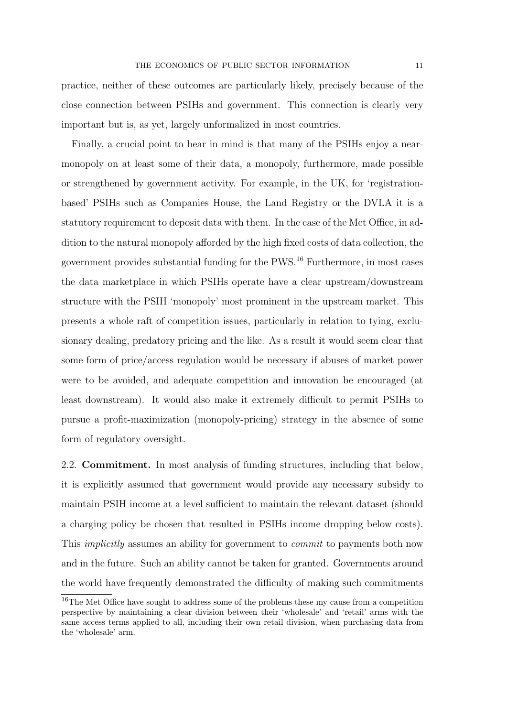practice, neither of these outcomes are particularly likely, precisely because of the close connection between PSIHs and government. This connection is clearly very important but is, as yet, largely unformalized in most countries.

Finally, a crucial point to bear in mind is that many of the PSIHs enjoy a nearmonopoly on at least some of their data, a monopoly, furthermore, made possible or strengthened by government activity. For example, in the UK, for 'registrationbased' PSIHs such as Companies House, the Land Registry or the DVLA it is a statutory requirement to deposit data with them. In the case of the Met Office, in addition to the natural monopoly afforded by the high fixed costs of data collection, the government provides substantial funding for the PWS.<sup>16</sup> Furthermore, in most cases the data marketplace in which PSIHs operate have a clear upstream/downstream structure with the PSIH 'monopoly' most prominent in the upstream market. This presents a whole raft of competition issues, particularly in relation to tying, exclusionary dealing, predatory pricing and the like. As a result it would seem clear that some form of price/access regulation would be necessary if abuses of market power were to be avoided, and adequate competition and innovation be encouraged (at least downstream). It would also make it extremely difficult to permit PSIHs to pursue a profit-maximization (monopoly-pricing) strategy in the absence of some form of regulatory oversight.

2.2. Commitment. In most analysis of funding structures, including that below, it is explicitly assumed that government would provide any necessary subsidy to maintain PSIH income at a level sufficient to maintain the relevant dataset (should a charging policy be chosen that resulted in PSIHs income dropping below costs). This implicitly assumes an ability for government to commit to payments both now and in the future. Such an ability cannot be taken for granted. Governments around the world have frequently demonstrated the difficulty of making such commitments

<sup>&</sup>lt;sup>16</sup>The Met Office have sought to address some of the problems these my cause from a competition perspective by maintaining a clear division between their 'wholesale' and 'retail' arms with the same access terms applied to all, including their own retail division, when purchasing data from the 'wholesale' arm.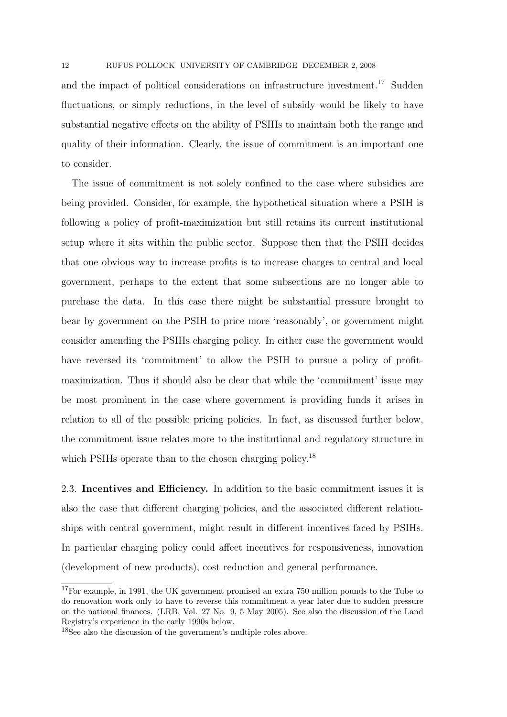and the impact of political considerations on infrastructure investment.<sup>17</sup> Sudden fluctuations, or simply reductions, in the level of subsidy would be likely to have substantial negative effects on the ability of PSIHs to maintain both the range and quality of their information. Clearly, the issue of commitment is an important one to consider.

The issue of commitment is not solely confined to the case where subsidies are being provided. Consider, for example, the hypothetical situation where a PSIH is following a policy of profit-maximization but still retains its current institutional setup where it sits within the public sector. Suppose then that the PSIH decides that one obvious way to increase profits is to increase charges to central and local government, perhaps to the extent that some subsections are no longer able to purchase the data. In this case there might be substantial pressure brought to bear by government on the PSIH to price more 'reasonably', or government might consider amending the PSIHs charging policy. In either case the government would have reversed its 'commitment' to allow the PSIH to pursue a policy of profitmaximization. Thus it should also be clear that while the 'commitment' issue may be most prominent in the case where government is providing funds it arises in relation to all of the possible pricing policies. In fact, as discussed further below, the commitment issue relates more to the institutional and regulatory structure in which PSIHs operate than to the chosen charging policy.<sup>18</sup>

2.3. Incentives and Efficiency. In addition to the basic commitment issues it is also the case that different charging policies, and the associated different relationships with central government, might result in different incentives faced by PSIHs. In particular charging policy could affect incentives for responsiveness, innovation (development of new products), cost reduction and general performance.

<sup>&</sup>lt;sup>17</sup>For example, in 1991, the UK government promised an extra 750 million pounds to the Tube to do renovation work only to have to reverse this commitment a year later due to sudden pressure on the national finances. (LRB, Vol. 27 No. 9, 5 May 2005). See also the discussion of the Land Registry's experience in the early 1990s below.

<sup>18</sup>See also the discussion of the government's multiple roles above.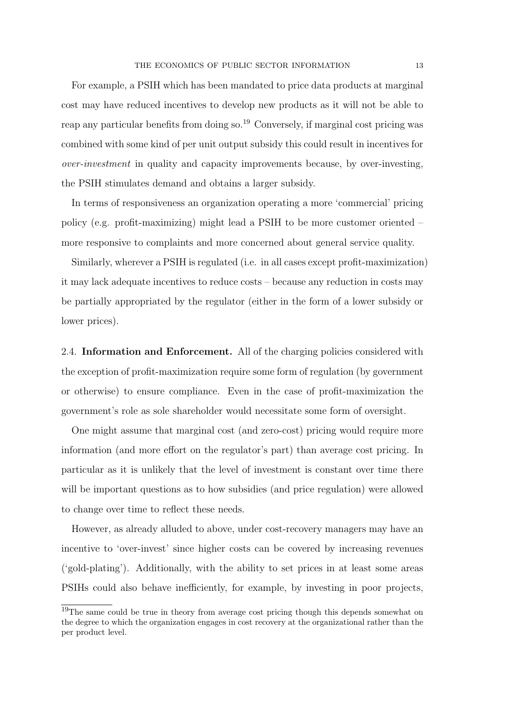For example, a PSIH which has been mandated to price data products at marginal cost may have reduced incentives to develop new products as it will not be able to reap any particular benefits from doing so.<sup>19</sup> Conversely, if marginal cost pricing was combined with some kind of per unit output subsidy this could result in incentives for over-investment in quality and capacity improvements because, by over-investing, the PSIH stimulates demand and obtains a larger subsidy.

In terms of responsiveness an organization operating a more 'commercial' pricing policy (e.g. profit-maximizing) might lead a PSIH to be more customer oriented – more responsive to complaints and more concerned about general service quality.

Similarly, wherever a PSIH is regulated (i.e. in all cases except profit-maximization) it may lack adequate incentives to reduce costs – because any reduction in costs may be partially appropriated by the regulator (either in the form of a lower subsidy or lower prices).

2.4. Information and Enforcement. All of the charging policies considered with the exception of profit-maximization require some form of regulation (by government or otherwise) to ensure compliance. Even in the case of profit-maximization the government's role as sole shareholder would necessitate some form of oversight.

One might assume that marginal cost (and zero-cost) pricing would require more information (and more effort on the regulator's part) than average cost pricing. In particular as it is unlikely that the level of investment is constant over time there will be important questions as to how subsidies (and price regulation) were allowed to change over time to reflect these needs.

However, as already alluded to above, under cost-recovery managers may have an incentive to 'over-invest' since higher costs can be covered by increasing revenues ('gold-plating'). Additionally, with the ability to set prices in at least some areas PSIHs could also behave inefficiently, for example, by investing in poor projects,

<sup>&</sup>lt;sup>19</sup>The same could be true in theory from average cost pricing though this depends somewhat on the degree to which the organization engages in cost recovery at the organizational rather than the per product level.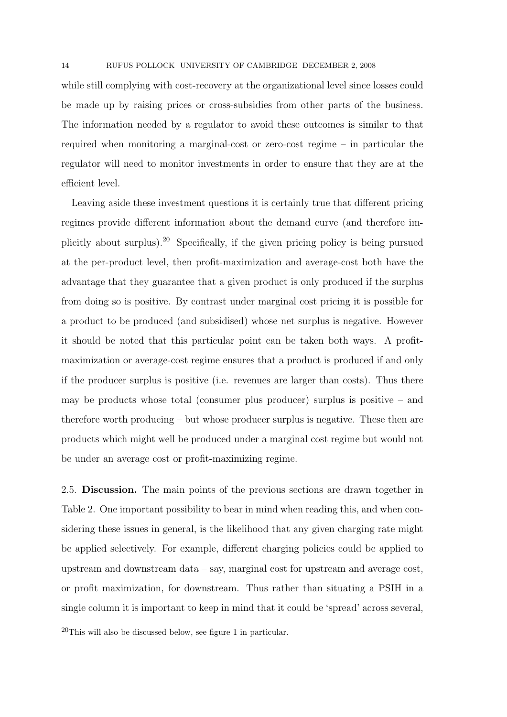while still complying with cost-recovery at the organizational level since losses could be made up by raising prices or cross-subsidies from other parts of the business. The information needed by a regulator to avoid these outcomes is similar to that required when monitoring a marginal-cost or zero-cost regime – in particular the regulator will need to monitor investments in order to ensure that they are at the efficient level.

Leaving aside these investment questions it is certainly true that different pricing regimes provide different information about the demand curve (and therefore implicitly about surplus).<sup>20</sup> Specifically, if the given pricing policy is being pursued at the per-product level, then profit-maximization and average-cost both have the advantage that they guarantee that a given product is only produced if the surplus from doing so is positive. By contrast under marginal cost pricing it is possible for a product to be produced (and subsidised) whose net surplus is negative. However it should be noted that this particular point can be taken both ways. A profitmaximization or average-cost regime ensures that a product is produced if and only if the producer surplus is positive (i.e. revenues are larger than costs). Thus there may be products whose total (consumer plus producer) surplus is positive – and therefore worth producing – but whose producer surplus is negative. These then are products which might well be produced under a marginal cost regime but would not be under an average cost or profit-maximizing regime.

2.5. Discussion. The main points of the previous sections are drawn together in Table 2. One important possibility to bear in mind when reading this, and when considering these issues in general, is the likelihood that any given charging rate might be applied selectively. For example, different charging policies could be applied to upstream and downstream data – say, marginal cost for upstream and average cost, or profit maximization, for downstream. Thus rather than situating a PSIH in a single column it is important to keep in mind that it could be 'spread' across several,

 $^{20}$ This will also be discussed below, see figure 1 in particular.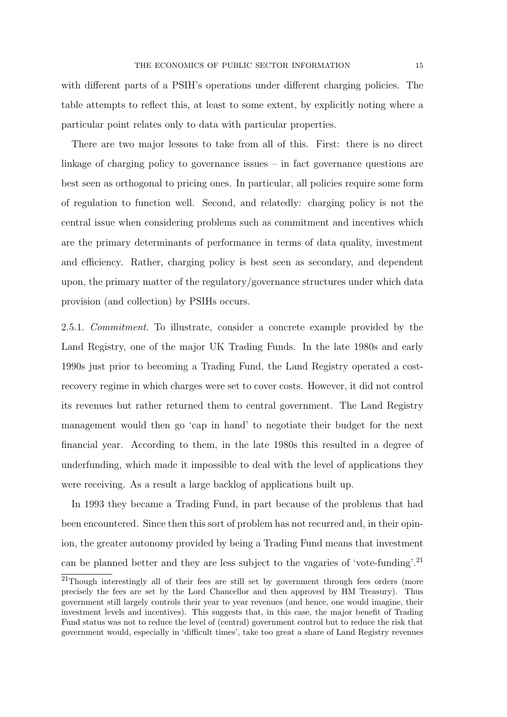with different parts of a PSIH's operations under different charging policies. The table attempts to reflect this, at least to some extent, by explicitly noting where a particular point relates only to data with particular properties.

There are two major lessons to take from all of this. First: there is no direct linkage of charging policy to governance issues – in fact governance questions are best seen as orthogonal to pricing ones. In particular, all policies require some form of regulation to function well. Second, and relatedly: charging policy is not the central issue when considering problems such as commitment and incentives which are the primary determinants of performance in terms of data quality, investment and efficiency. Rather, charging policy is best seen as secondary, and dependent upon, the primary matter of the regulatory/governance structures under which data provision (and collection) by PSIHs occurs.

2.5.1. Commitment. To illustrate, consider a concrete example provided by the Land Registry, one of the major UK Trading Funds. In the late 1980s and early 1990s just prior to becoming a Trading Fund, the Land Registry operated a costrecovery regime in which charges were set to cover costs. However, it did not control its revenues but rather returned them to central government. The Land Registry management would then go 'cap in hand' to negotiate their budget for the next financial year. According to them, in the late 1980s this resulted in a degree of underfunding, which made it impossible to deal with the level of applications they were receiving. As a result a large backlog of applications built up.

In 1993 they became a Trading Fund, in part because of the problems that had been encountered. Since then this sort of problem has not recurred and, in their opinion, the greater autonomy provided by being a Trading Fund means that investment can be planned better and they are less subject to the vagaries of 'vote-funding'.<sup>21</sup>

<sup>&</sup>lt;sup>21</sup>Though interestingly all of their fees are still set by government through fees orders (more precisely the fees are set by the Lord Chancellor and then approved by HM Treasury). Thus government still largely controls their year to year revenues (and hence, one would imagine, their investment levels and incentives). This suggests that, in this case, the major benefit of Trading Fund status was not to reduce the level of (central) government control but to reduce the risk that government would, especially in 'difficult times', take too great a share of Land Registry revenues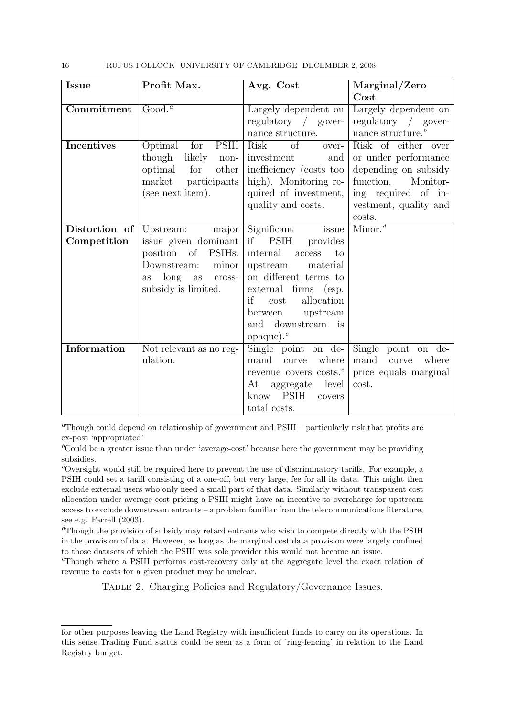16 RUFUS POLLOCK UNIVERSITY OF CAMBRIDGE DECEMBER 2, 2008

| <b>Issue</b>      | Profit Max.                        | Avg. Cost                                    | Marginal/Zero                    |
|-------------------|------------------------------------|----------------------------------------------|----------------------------------|
|                   |                                    |                                              | Cost                             |
| Commitment        | Good. <sup>a</sup>                 | Largely dependent on                         | Largely dependent on             |
|                   |                                    | regulatory $\frac{\ }{2}$ gover-             | regulatory $\frac{\ }{2}$ gover- |
|                   |                                    | nance structure.                             | nance structure. $b$             |
| <b>Incentives</b> | Optimal for<br><b>PSIH</b>         | $\overline{\text{of}}$<br>Risk<br>$over\{-}$ | Risk of either over              |
|                   | though likely<br>non-              | investment<br>and                            | or under performance             |
|                   | optimal<br>other<br>for            | inefficiency (costs too                      | depending on subsidy             |
|                   | market<br>participants             | high). Monitoring re-                        | function.<br>Monitor-            |
|                   | (see next item).                   | quired of investment,                        | ing required of in-              |
|                   |                                    | quality and costs.                           | vestment, quality and            |
|                   |                                    |                                              | costs.                           |
| Distortion of     | major<br>Upstream:                 | Significant<br>issue                         | $\overline{\text{Minor.}}^d$     |
| Competition       | issue given dominant               | if PSIH<br>provides                          |                                  |
|                   | position of<br>PSIH <sub>s</sub> . | internal<br>to<br>$\rm access$               |                                  |
|                   | Downstream:<br>minor               | upstream<br>material                         |                                  |
|                   | long as<br>$\csc$<br><b>as</b>     | on different terms to                        |                                  |
|                   | subsidy is limited.                | external firms (esp.                         |                                  |
|                   |                                    | allocation<br>if<br>cost                     |                                  |
|                   |                                    | between upstream                             |                                  |
|                   |                                    | and downstream<br>$\frac{1}{1}$              |                                  |
|                   |                                    | $opaque$ ).                                  |                                  |
| Information       | Not relevant as no reg-            | Single point on de-                          | Single point<br>on de-           |
|                   | ulation.                           | mand curve<br>where                          | mand curve<br>where              |
|                   |                                    | revenue covers costs. <sup>e</sup>           | price equals marginal            |
|                   |                                    | aggregate level<br>At                        | cost.                            |
|                   |                                    | know PSIH<br>covers                          |                                  |
|                   |                                    | total costs.                                 |                                  |

<sup> $a$ </sup>Though could depend on relationship of government and  $PSIH -$  particularly risk that profits are ex-post 'appropriated'

 ${}^b$ Could be a greater issue than under 'average-cost' because here the government may be providing subsidies.

<sup>c</sup>Oversight would still be required here to prevent the use of discriminatory tariffs. For example, a PSIH could set a tariff consisting of a one-off, but very large, fee for all its data. This might then exclude external users who only need a small part of that data. Similarly without transparent cost allocation under average cost pricing a PSIH might have an incentive to overcharge for upstream access to exclude downstream entrants – a problem familiar from the telecommunications literature, see e.g. Farrell (2003).

 $\alpha$ <sup>d</sup>Though the provision of subsidy may retard entrants who wish to compete directly with the PSIH in the provision of data. However, as long as the marginal cost data provision were largely confined to those datasets of which the PSIH was sole provider this would not become an issue.

<sup>e</sup>Though where a PSIH performs cost-recovery only at the aggregate level the exact relation of revenue to costs for a given product may be unclear.

TABLE 2. Charging Policies and Regulatory/Governance Issues.

for other purposes leaving the Land Registry with insufficient funds to carry on its operations. In this sense Trading Fund status could be seen as a form of 'ring-fencing' in relation to the Land Registry budget.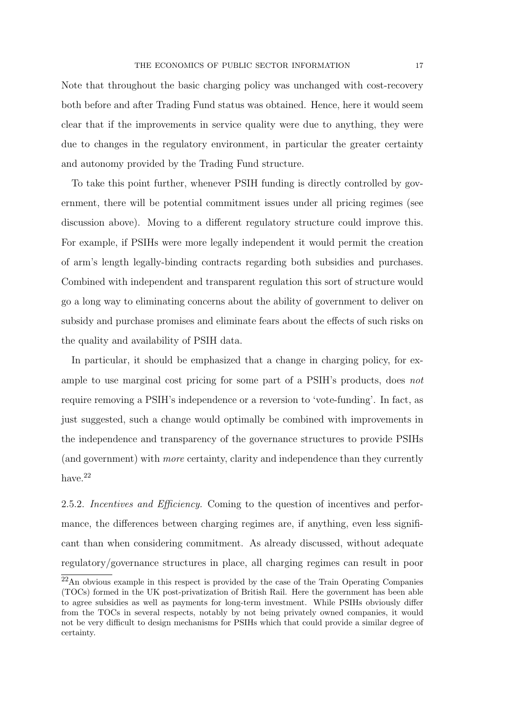Note that throughout the basic charging policy was unchanged with cost-recovery both before and after Trading Fund status was obtained. Hence, here it would seem clear that if the improvements in service quality were due to anything, they were due to changes in the regulatory environment, in particular the greater certainty and autonomy provided by the Trading Fund structure.

To take this point further, whenever PSIH funding is directly controlled by government, there will be potential commitment issues under all pricing regimes (see discussion above). Moving to a different regulatory structure could improve this. For example, if PSIHs were more legally independent it would permit the creation of arm's length legally-binding contracts regarding both subsidies and purchases. Combined with independent and transparent regulation this sort of structure would go a long way to eliminating concerns about the ability of government to deliver on subsidy and purchase promises and eliminate fears about the effects of such risks on the quality and availability of PSIH data.

In particular, it should be emphasized that a change in charging policy, for example to use marginal cost pricing for some part of a PSIH's products, does not require removing a PSIH's independence or a reversion to 'vote-funding'. In fact, as just suggested, such a change would optimally be combined with improvements in the independence and transparency of the governance structures to provide PSIHs (and government) with more certainty, clarity and independence than they currently have.<sup>22</sup>

2.5.2. Incentives and Efficiency. Coming to the question of incentives and performance, the differences between charging regimes are, if anything, even less significant than when considering commitment. As already discussed, without adequate regulatory/governance structures in place, all charging regimes can result in poor

<sup>22</sup>An obvious example in this respect is provided by the case of the Train Operating Companies (TOCs) formed in the UK post-privatization of British Rail. Here the government has been able to agree subsidies as well as payments for long-term investment. While PSIHs obviously differ from the TOCs in several respects, notably by not being privately owned companies, it would not be very difficult to design mechanisms for PSIHs which that could provide a similar degree of certainty.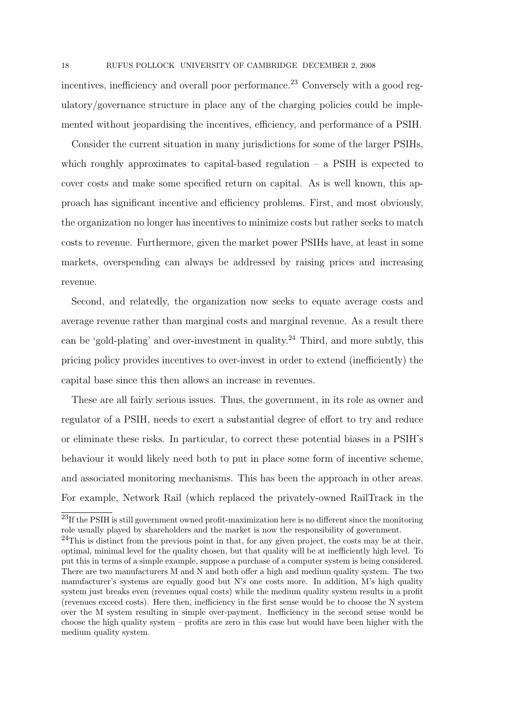incentives, inefficiency and overall poor performance.<sup>23</sup> Conversely with a good regulatory/governance structure in place any of the charging policies could be implemented without jeopardising the incentives, efficiency, and performance of a PSIH.

Consider the current situation in many jurisdictions for some of the larger PSIHs, which roughly approximates to capital-based regulation – a PSIH is expected to cover costs and make some specified return on capital. As is well known, this approach has significant incentive and efficiency problems. First, and most obviously, the organization no longer has incentives to minimize costs but rather seeks to match costs to revenue. Furthermore, given the market power PSIHs have, at least in some markets, overspending can always be addressed by raising prices and increasing revenue.

Second, and relatedly, the organization now seeks to equate average costs and average revenue rather than marginal costs and marginal revenue. As a result there can be 'gold-plating' and over-investment in quality.<sup>24</sup> Third, and more subtly, this pricing policy provides incentives to over-invest in order to extend (inefficiently) the capital base since this then allows an increase in revenues.

These are all fairly serious issues. Thus, the government, in its role as owner and regulator of a PSIH, needs to exert a substantial degree of effort to try and reduce or eliminate these risks. In particular, to correct these potential biases in a PSIH's behaviour it would likely need both to put in place some form of incentive scheme, and associated monitoring mechanisms. This has been the approach in other areas. For example, Network Rail (which replaced the privately-owned RailTrack in the

<sup>&</sup>lt;sup>23</sup>If the PSIH is still government owned profit-maximization here is no different since the monitoring role usually played by shareholders and the market is now the responsibility of government.

 $24$ This is distinct from the previous point in that, for any given project, the costs may be at their, optimal, minimal level for the quality chosen, but that quality will be at inefficiently high level. To put this in terms of a simple example, suppose a purchase of a computer system is being considered. There are two manufacturers M and N and both offer a high and medium quality system. The two manufacturer's systems are equally good but N's one costs more. In addition, M's high quality system just breaks even (revenues equal costs) while the medium quality system results in a profit (revenues exceed costs). Here then, inefficiency in the first sense would be to choose the N system over the M system resulting in simple over-payment. Inefficiency in the second sense would be choose the high quality system – profits are zero in this case but would have been higher with the medium quality system.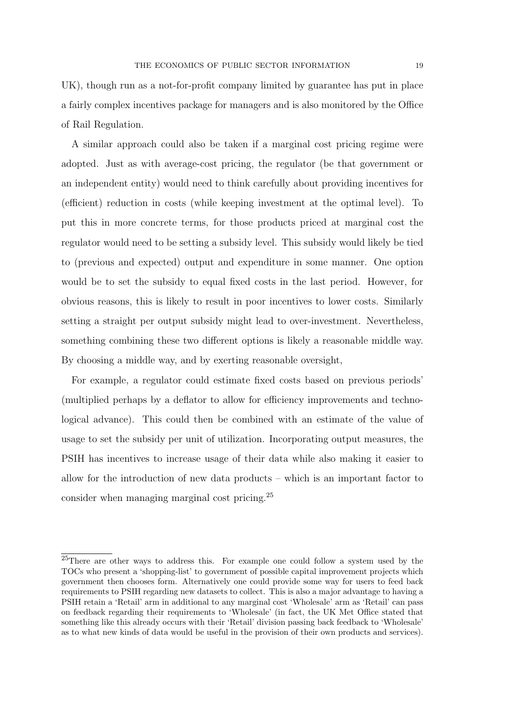UK), though run as a not-for-profit company limited by guarantee has put in place a fairly complex incentives package for managers and is also monitored by the Office of Rail Regulation.

A similar approach could also be taken if a marginal cost pricing regime were adopted. Just as with average-cost pricing, the regulator (be that government or an independent entity) would need to think carefully about providing incentives for (efficient) reduction in costs (while keeping investment at the optimal level). To put this in more concrete terms, for those products priced at marginal cost the regulator would need to be setting a subsidy level. This subsidy would likely be tied to (previous and expected) output and expenditure in some manner. One option would be to set the subsidy to equal fixed costs in the last period. However, for obvious reasons, this is likely to result in poor incentives to lower costs. Similarly setting a straight per output subsidy might lead to over-investment. Nevertheless, something combining these two different options is likely a reasonable middle way. By choosing a middle way, and by exerting reasonable oversight,

For example, a regulator could estimate fixed costs based on previous periods' (multiplied perhaps by a deflator to allow for efficiency improvements and technological advance). This could then be combined with an estimate of the value of usage to set the subsidy per unit of utilization. Incorporating output measures, the PSIH has incentives to increase usage of their data while also making it easier to allow for the introduction of new data products – which is an important factor to consider when managing marginal cost pricing.<sup>25</sup>

<sup>&</sup>lt;sup>25</sup>There are other ways to address this. For example one could follow a system used by the TOCs who present a 'shopping-list' to government of possible capital improvement projects which government then chooses form. Alternatively one could provide some way for users to feed back requirements to PSIH regarding new datasets to collect. This is also a major advantage to having a PSIH retain a 'Retail' arm in additional to any marginal cost 'Wholesale' arm as 'Retail' can pass on feedback regarding their requirements to 'Wholesale' (in fact, the UK Met Office stated that something like this already occurs with their 'Retail' division passing back feedback to 'Wholesale' as to what new kinds of data would be useful in the provision of their own products and services).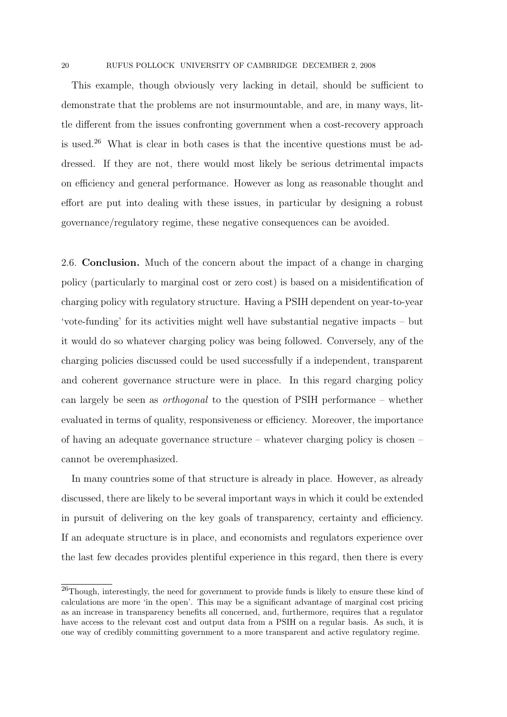This example, though obviously very lacking in detail, should be sufficient to demonstrate that the problems are not insurmountable, and are, in many ways, little different from the issues confronting government when a cost-recovery approach is used.<sup>26</sup> What is clear in both cases is that the incentive questions must be addressed. If they are not, there would most likely be serious detrimental impacts on efficiency and general performance. However as long as reasonable thought and effort are put into dealing with these issues, in particular by designing a robust governance/regulatory regime, these negative consequences can be avoided.

2.6. Conclusion. Much of the concern about the impact of a change in charging policy (particularly to marginal cost or zero cost) is based on a misidentification of charging policy with regulatory structure. Having a PSIH dependent on year-to-year 'vote-funding' for its activities might well have substantial negative impacts – but it would do so whatever charging policy was being followed. Conversely, any of the charging policies discussed could be used successfully if a independent, transparent and coherent governance structure were in place. In this regard charging policy can largely be seen as orthogonal to the question of PSIH performance – whether evaluated in terms of quality, responsiveness or efficiency. Moreover, the importance of having an adequate governance structure – whatever charging policy is chosen – cannot be overemphasized.

In many countries some of that structure is already in place. However, as already discussed, there are likely to be several important ways in which it could be extended in pursuit of delivering on the key goals of transparency, certainty and efficiency. If an adequate structure is in place, and economists and regulators experience over the last few decades provides plentiful experience in this regard, then there is every

<sup>&</sup>lt;sup>26</sup>Though, interestingly, the need for government to provide funds is likely to ensure these kind of calculations are more 'in the open'. This may be a significant advantage of marginal cost pricing as an increase in transparency benefits all concerned, and, furthermore, requires that a regulator have access to the relevant cost and output data from a PSIH on a regular basis. As such, it is one way of credibly committing government to a more transparent and active regulatory regime.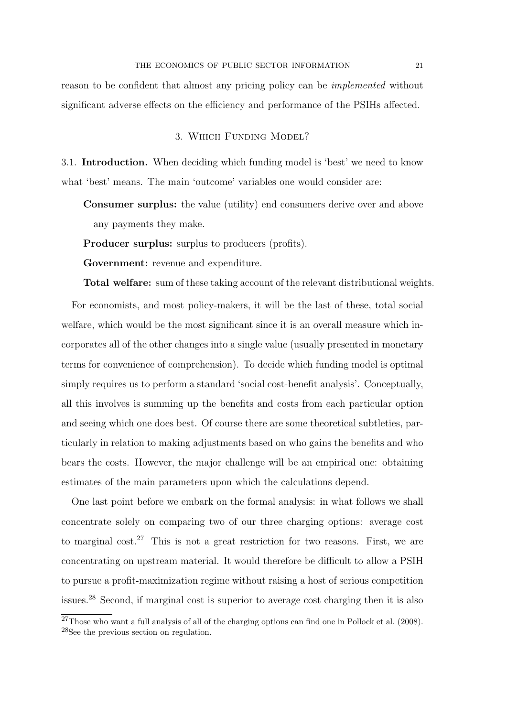reason to be confident that almost any pricing policy can be implemented without significant adverse effects on the efficiency and performance of the PSIHs affected.

# 3. Which Funding Model?

3.1. Introduction. When deciding which funding model is 'best' we need to know what 'best' means. The main 'outcome' variables one would consider are:

Consumer surplus: the value (utility) end consumers derive over and above any payments they make.

Producer surplus: surplus to producers (profits).

Government: revenue and expenditure.

Total welfare: sum of these taking account of the relevant distributional weights.

For economists, and most policy-makers, it will be the last of these, total social welfare, which would be the most significant since it is an overall measure which incorporates all of the other changes into a single value (usually presented in monetary terms for convenience of comprehension). To decide which funding model is optimal simply requires us to perform a standard 'social cost-benefit analysis'. Conceptually, all this involves is summing up the benefits and costs from each particular option and seeing which one does best. Of course there are some theoretical subtleties, particularly in relation to making adjustments based on who gains the benefits and who bears the costs. However, the major challenge will be an empirical one: obtaining estimates of the main parameters upon which the calculations depend.

One last point before we embark on the formal analysis: in what follows we shall concentrate solely on comparing two of our three charging options: average cost to marginal cost.<sup>27</sup> This is not a great restriction for two reasons. First, we are concentrating on upstream material. It would therefore be difficult to allow a PSIH to pursue a profit-maximization regime without raising a host of serious competition issues.<sup>28</sup> Second, if marginal cost is superior to average cost charging then it is also

<sup>27</sup>Those who want a full analysis of all of the charging options can find one in Pollock et al. (2008). <sup>28</sup>See the previous section on regulation.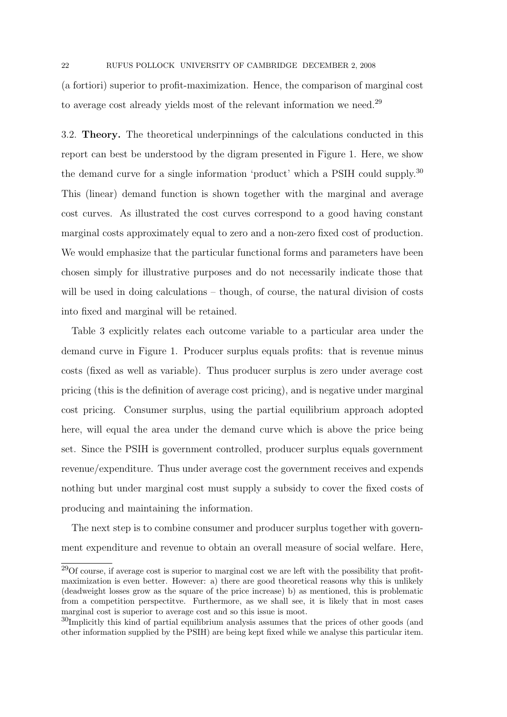(a fortiori) superior to profit-maximization. Hence, the comparison of marginal cost to average cost already yields most of the relevant information we need.<sup>29</sup>

3.2. Theory. The theoretical underpinnings of the calculations conducted in this report can best be understood by the digram presented in Figure 1. Here, we show the demand curve for a single information 'product' which a PSIH could supply.<sup>30</sup> This (linear) demand function is shown together with the marginal and average cost curves. As illustrated the cost curves correspond to a good having constant marginal costs approximately equal to zero and a non-zero fixed cost of production. We would emphasize that the particular functional forms and parameters have been chosen simply for illustrative purposes and do not necessarily indicate those that will be used in doing calculations – though, of course, the natural division of costs into fixed and marginal will be retained.

Table 3 explicitly relates each outcome variable to a particular area under the demand curve in Figure 1. Producer surplus equals profits: that is revenue minus costs (fixed as well as variable). Thus producer surplus is zero under average cost pricing (this is the definition of average cost pricing), and is negative under marginal cost pricing. Consumer surplus, using the partial equilibrium approach adopted here, will equal the area under the demand curve which is above the price being set. Since the PSIH is government controlled, producer surplus equals government revenue/expenditure. Thus under average cost the government receives and expends nothing but under marginal cost must supply a subsidy to cover the fixed costs of producing and maintaining the information.

The next step is to combine consumer and producer surplus together with government expenditure and revenue to obtain an overall measure of social welfare. Here,

 $29$ Of course, if average cost is superior to marginal cost we are left with the possibility that profitmaximization is even better. However: a) there are good theoretical reasons why this is unlikely (deadweight losses grow as the square of the price increase) b) as mentioned, this is problematic from a competition perspectitve. Furthermore, as we shall see, it is likely that in most cases marginal cost is superior to average cost and so this issue is moot.

<sup>&</sup>lt;sup>30</sup>Implicitly this kind of partial equilibrium analysis assumes that the prices of other goods (and other information supplied by the PSIH) are being kept fixed while we analyse this particular item.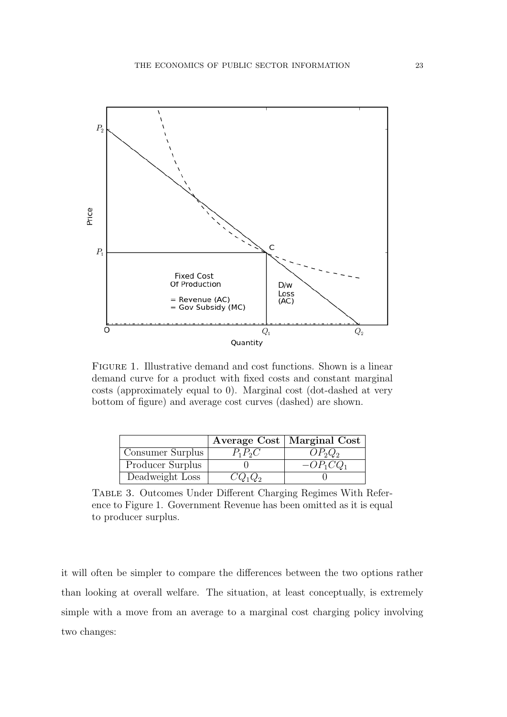

Figure 1. Illustrative demand and cost functions. Shown is a linear demand curve for a product with fixed costs and constant marginal costs (approximately equal to 0). Marginal cost (dot-dashed at very bottom of figure) and average cost curves (dashed) are shown.

|                  |           | Average Cost   Marginal Cost |
|------------------|-----------|------------------------------|
| Consumer Surplus | $P_1P_2C$ | $OP_2Q_2$                    |
| Producer Surplus |           | $-OP1CO1$                    |
| Deadweight Loss  | $CQ_1Q_2$ |                              |

Table 3. Outcomes Under Different Charging Regimes With Reference to Figure 1. Government Revenue has been omitted as it is equal to producer surplus.

it will often be simpler to compare the differences between the two options rather than looking at overall welfare. The situation, at least conceptually, is extremely simple with a move from an average to a marginal cost charging policy involving two changes: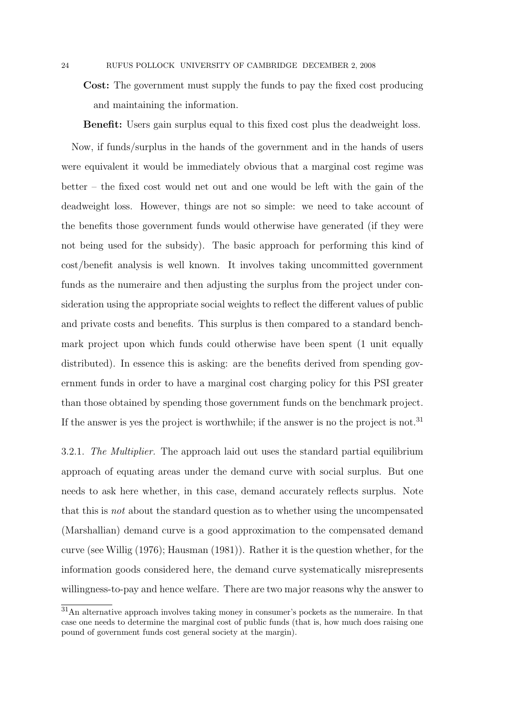Cost: The government must supply the funds to pay the fixed cost producing and maintaining the information.

Benefit: Users gain surplus equal to this fixed cost plus the deadweight loss.

Now, if funds/surplus in the hands of the government and in the hands of users were equivalent it would be immediately obvious that a marginal cost regime was better – the fixed cost would net out and one would be left with the gain of the deadweight loss. However, things are not so simple: we need to take account of the benefits those government funds would otherwise have generated (if they were not being used for the subsidy). The basic approach for performing this kind of cost/benefit analysis is well known. It involves taking uncommitted government funds as the numeraire and then adjusting the surplus from the project under consideration using the appropriate social weights to reflect the different values of public and private costs and benefits. This surplus is then compared to a standard benchmark project upon which funds could otherwise have been spent (1 unit equally distributed). In essence this is asking: are the benefits derived from spending government funds in order to have a marginal cost charging policy for this PSI greater than those obtained by spending those government funds on the benchmark project. If the answer is yes the project is worthwhile; if the answer is no the project is not.<sup>31</sup>

3.2.1. The Multiplier. The approach laid out uses the standard partial equilibrium approach of equating areas under the demand curve with social surplus. But one needs to ask here whether, in this case, demand accurately reflects surplus. Note that this is not about the standard question as to whether using the uncompensated (Marshallian) demand curve is a good approximation to the compensated demand curve (see Willig (1976); Hausman (1981)). Rather it is the question whether, for the information goods considered here, the demand curve systematically misrepresents willingness-to-pay and hence welfare. There are two major reasons why the answer to

<sup>31</sup>An alternative approach involves taking money in consumer's pockets as the numeraire. In that case one needs to determine the marginal cost of public funds (that is, how much does raising one pound of government funds cost general society at the margin).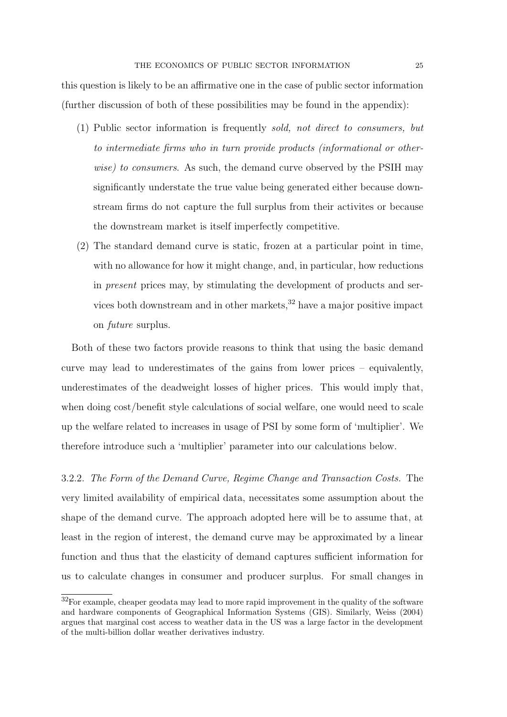this question is likely to be an affirmative one in the case of public sector information (further discussion of both of these possibilities may be found in the appendix):

- (1) Public sector information is frequently sold, not direct to consumers, but to intermediate firms who in turn provide products (informational or otherwise) to consumers. As such, the demand curve observed by the PSIH may significantly understate the true value being generated either because downstream firms do not capture the full surplus from their activites or because the downstream market is itself imperfectly competitive.
- (2) The standard demand curve is static, frozen at a particular point in time, with no allowance for how it might change, and, in particular, how reductions in present prices may, by stimulating the development of products and services both downstream and in other markets,  $32$  have a major positive impact on future surplus.

Both of these two factors provide reasons to think that using the basic demand curve may lead to underestimates of the gains from lower prices – equivalently, underestimates of the deadweight losses of higher prices. This would imply that, when doing cost/benefit style calculations of social welfare, one would need to scale up the welfare related to increases in usage of PSI by some form of 'multiplier'. We therefore introduce such a 'multiplier' parameter into our calculations below.

3.2.2. The Form of the Demand Curve, Regime Change and Transaction Costs. The very limited availability of empirical data, necessitates some assumption about the shape of the demand curve. The approach adopted here will be to assume that, at least in the region of interest, the demand curve may be approximated by a linear function and thus that the elasticity of demand captures sufficient information for us to calculate changes in consumer and producer surplus. For small changes in

 $32$ For example, cheaper geodata may lead to more rapid improvement in the quality of the software and hardware components of Geographical Information Systems (GIS). Similarly, Weiss (2004) argues that marginal cost access to weather data in the US was a large factor in the development of the multi-billion dollar weather derivatives industry.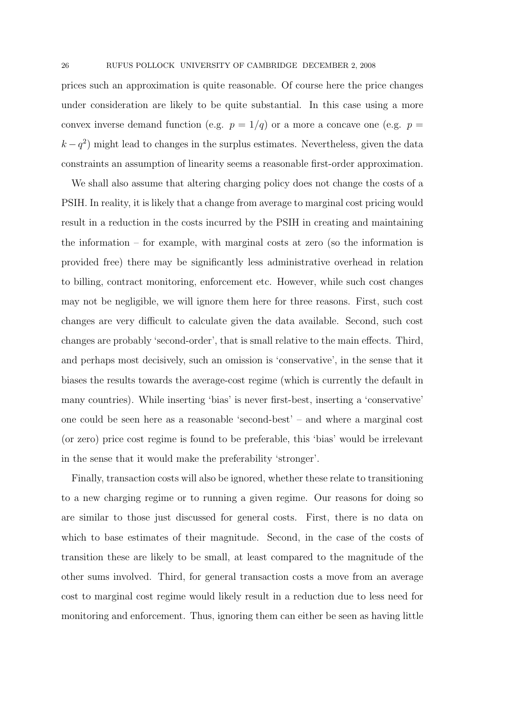prices such an approximation is quite reasonable. Of course here the price changes under consideration are likely to be quite substantial. In this case using a more convex inverse demand function (e.g.  $p = 1/q$ ) or a more a concave one (e.g.  $p =$  $k - q<sup>2</sup>$ ) might lead to changes in the surplus estimates. Nevertheless, given the data constraints an assumption of linearity seems a reasonable first-order approximation.

We shall also assume that altering charging policy does not change the costs of a PSIH. In reality, it is likely that a change from average to marginal cost pricing would result in a reduction in the costs incurred by the PSIH in creating and maintaining the information – for example, with marginal costs at zero (so the information is provided free) there may be significantly less administrative overhead in relation to billing, contract monitoring, enforcement etc. However, while such cost changes may not be negligible, we will ignore them here for three reasons. First, such cost changes are very difficult to calculate given the data available. Second, such cost changes are probably 'second-order', that is small relative to the main effects. Third, and perhaps most decisively, such an omission is 'conservative', in the sense that it biases the results towards the average-cost regime (which is currently the default in many countries). While inserting 'bias' is never first-best, inserting a 'conservative' one could be seen here as a reasonable 'second-best' – and where a marginal cost (or zero) price cost regime is found to be preferable, this 'bias' would be irrelevant in the sense that it would make the preferability 'stronger'.

Finally, transaction costs will also be ignored, whether these relate to transitioning to a new charging regime or to running a given regime. Our reasons for doing so are similar to those just discussed for general costs. First, there is no data on which to base estimates of their magnitude. Second, in the case of the costs of transition these are likely to be small, at least compared to the magnitude of the other sums involved. Third, for general transaction costs a move from an average cost to marginal cost regime would likely result in a reduction due to less need for monitoring and enforcement. Thus, ignoring them can either be seen as having little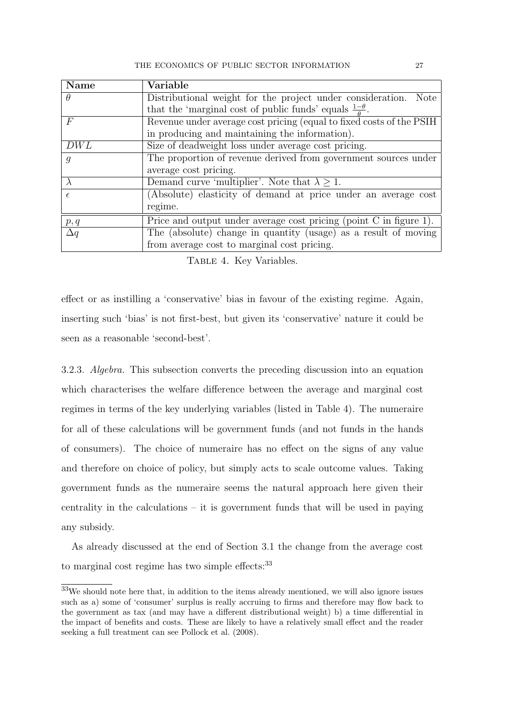| <b>Name</b>    | Variable                                                               |
|----------------|------------------------------------------------------------------------|
| $\theta$       | Distributional weight for the project under consideration. Note        |
|                | that the 'marginal cost of public funds' equals $\frac{1-\theta}{a}$ . |
| $\,F$          | Revenue under average cost pricing (equal to fixed costs of the PSIH   |
|                | in producing and maintaining the information).                         |
| DWL            | Size of deadweight loss under average cost pricing.                    |
| $\overline{g}$ | The proportion of revenue derived from government sources under        |
|                | average cost pricing.                                                  |
|                | Demand curve 'multiplier'. Note that $\lambda \geq 1$ .                |
| $\epsilon$     | (Absolute) elasticity of demand at price under an average cost         |
|                | regime.                                                                |
| p, q           | Price and output under average cost pricing (point $C$ in figure 1).   |
| $\Delta q$     | The (absolute) change in quantity (usage) as a result of moving        |
|                | from average cost to marginal cost pricing.                            |

Table 4. Key Variables.

effect or as instilling a 'conservative' bias in favour of the existing regime. Again, inserting such 'bias' is not first-best, but given its 'conservative' nature it could be seen as a reasonable 'second-best'.

3.2.3. Algebra. This subsection converts the preceding discussion into an equation which characterises the welfare difference between the average and marginal cost regimes in terms of the key underlying variables (listed in Table 4). The numeraire for all of these calculations will be government funds (and not funds in the hands of consumers). The choice of numeraire has no effect on the signs of any value and therefore on choice of policy, but simply acts to scale outcome values. Taking government funds as the numeraire seems the natural approach here given their centrality in the calculations – it is government funds that will be used in paying any subsidy.

As already discussed at the end of Section 3.1 the change from the average cost to marginal cost regime has two simple effects: $33$ 

<sup>33</sup>We should note here that, in addition to the items already mentioned, we will also ignore issues such as a) some of 'consumer' surplus is really accruing to firms and therefore may flow back to the government as tax (and may have a different distributional weight) b) a time differential in the impact of benefits and costs. These are likely to have a relatively small effect and the reader seeking a full treatment can see Pollock et al. (2008).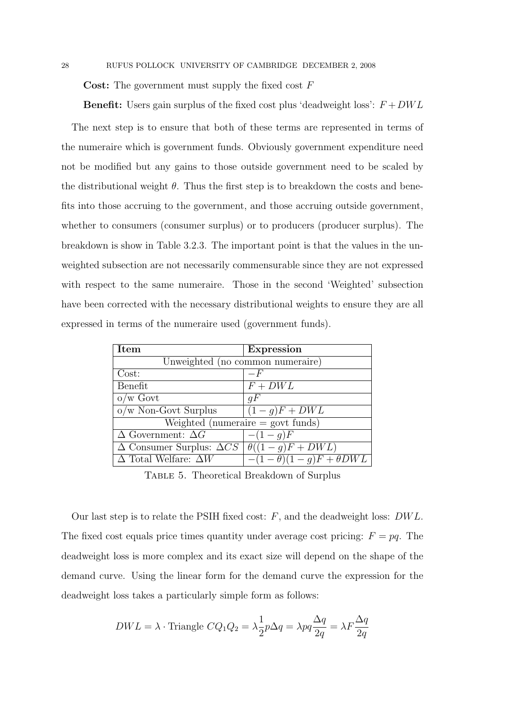**Cost:** The government must supply the fixed cost  $F$ 

**Benefit:** Users gain surplus of the fixed cost plus 'deadweight loss':  $F + DWL$ 

The next step is to ensure that both of these terms are represented in terms of the numeraire which is government funds. Obviously government expenditure need not be modified but any gains to those outside government need to be scaled by the distributional weight  $\theta$ . Thus the first step is to breakdown the costs and benefits into those accruing to the government, and those accruing outside government, whether to consumers (consumer surplus) or to producers (producer surplus). The breakdown is show in Table 3.2.3. The important point is that the values in the unweighted subsection are not necessarily commensurable since they are not expressed with respect to the same numeraire. Those in the second 'Weighted' subsection have been corrected with the necessary distributional weights to ensure they are all expressed in terms of the numeraire used (government funds).

| Item                                                             | <b>Expression</b>                         |  |
|------------------------------------------------------------------|-------------------------------------------|--|
| Unweighted (no common numeraire)                                 |                                           |  |
| Cost:                                                            | $-F$                                      |  |
| Benefit                                                          | $F + DWL$                                 |  |
| $o/w$ Govt                                                       | qF                                        |  |
| $o/w$ Non-Govt Surplus                                           | $\overline{(1-g)}F + DWL$                 |  |
| Weighted (numeraire $=$ govt funds)                              |                                           |  |
| $\Delta$ Government: $\Delta G$                                  | $-(1-g)F$                                 |  |
| $\Delta$ Consumer Surplus: $\Delta CS \mid \theta((1-g)F + DWL)$ |                                           |  |
| $\Delta$ Total Welfare: $\Delta W$                               | $-(1-\theta)(1-\overline{g})F+\theta DWL$ |  |

Table 5. Theoretical Breakdown of Surplus

Our last step is to relate the PSIH fixed cost:  $F$ , and the deadweight loss:  $DWL$ . The fixed cost equals price times quantity under average cost pricing:  $F = pq$ . The deadweight loss is more complex and its exact size will depend on the shape of the demand curve. Using the linear form for the demand curve the expression for the deadweight loss takes a particularly simple form as follows:

$$
DWL = \lambda \cdot \text{Triangle } CQ_1Q_2 = \lambda \frac{1}{2}p\Delta q = \lambda pq \frac{\Delta q}{2q} = \lambda F \frac{\Delta q}{2q}
$$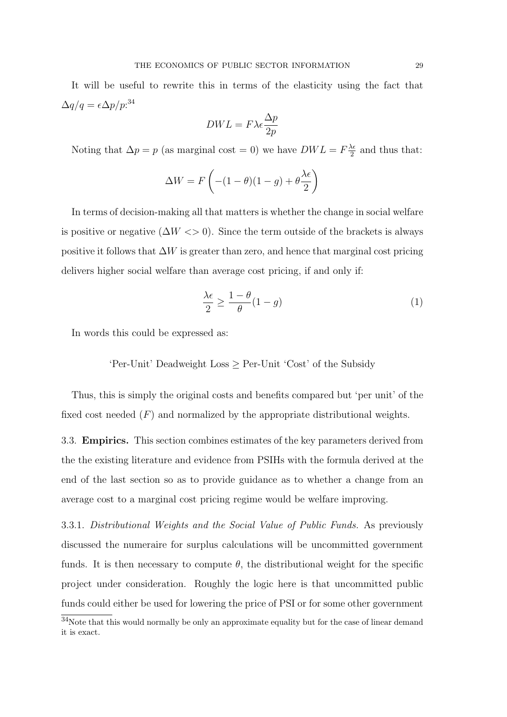It will be useful to rewrite this in terms of the elasticity using the fact that  $\Delta q/q = \epsilon \Delta p/p$ :<sup>34</sup>

$$
DWL = F\lambda \epsilon \frac{\Delta p}{2p}
$$

Noting that  $\Delta p = p$  (as marginal cost = 0) we have  $DWL = F\frac{\lambda}{2}$  $\frac{\lambda \epsilon}{2}$  and thus that:

$$
\Delta W = F\left(-(1-\theta)(1-g) + \theta\frac{\lambda\epsilon}{2}\right)
$$

In terms of decision-making all that matters is whether the change in social welfare is positive or negative  $(\Delta W \ll 0)$ . Since the term outside of the brackets is always positive it follows that  $\Delta W$  is greater than zero, and hence that marginal cost pricing delivers higher social welfare than average cost pricing, if and only if:

$$
\frac{\lambda \epsilon}{2} \ge \frac{1 - \theta}{\theta} (1 - g) \tag{1}
$$

In words this could be expressed as:

'Per-Unit' Deadweight Loss ≥ Per-Unit 'Cost' of the Subsidy

Thus, this is simply the original costs and benefits compared but 'per unit' of the fixed cost needed  $(F)$  and normalized by the appropriate distributional weights.

3.3. Empirics. This section combines estimates of the key parameters derived from the the existing literature and evidence from PSIHs with the formula derived at the end of the last section so as to provide guidance as to whether a change from an average cost to a marginal cost pricing regime would be welfare improving.

3.3.1. Distributional Weights and the Social Value of Public Funds. As previously discussed the numeraire for surplus calculations will be uncommitted government funds. It is then necessary to compute  $\theta$ , the distributional weight for the specific project under consideration. Roughly the logic here is that uncommitted public funds could either be used for lowering the price of PSI or for some other government

<sup>&</sup>lt;sup>34</sup>Note that this would normally be only an approximate equality but for the case of linear demand it is exact.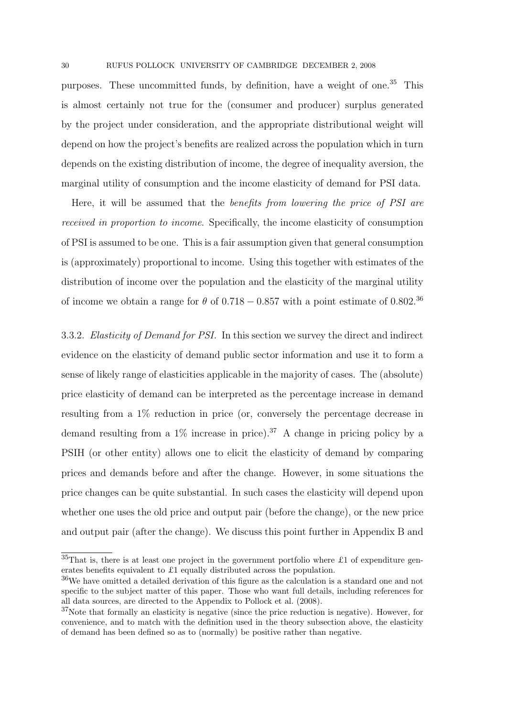purposes. These uncommitted funds, by definition, have a weight of one.<sup>35</sup> This is almost certainly not true for the (consumer and producer) surplus generated by the project under consideration, and the appropriate distributional weight will depend on how the project's benefits are realized across the population which in turn depends on the existing distribution of income, the degree of inequality aversion, the marginal utility of consumption and the income elasticity of demand for PSI data.

Here, it will be assumed that the benefits from lowering the price of PSI are received in proportion to income. Specifically, the income elasticity of consumption of PSI is assumed to be one. This is a fair assumption given that general consumption is (approximately) proportional to income. Using this together with estimates of the distribution of income over the population and the elasticity of the marginal utility of income we obtain a range for  $\theta$  of 0.718 − 0.857 with a point estimate of 0.802.<sup>36</sup>

3.3.2. Elasticity of Demand for PSI. In this section we survey the direct and indirect evidence on the elasticity of demand public sector information and use it to form a sense of likely range of elasticities applicable in the majority of cases. The (absolute) price elasticity of demand can be interpreted as the percentage increase in demand resulting from a 1% reduction in price (or, conversely the percentage decrease in demand resulting from a  $1\%$  increase in price).<sup>37</sup> A change in pricing policy by a PSIH (or other entity) allows one to elicit the elasticity of demand by comparing prices and demands before and after the change. However, in some situations the price changes can be quite substantial. In such cases the elasticity will depend upon whether one uses the old price and output pair (before the change), or the new price and output pair (after the change). We discuss this point further in Appendix B and

 $35$ That is, there is at least one project in the government portfolio where £1 of expenditure generates benefits equivalent to £1 equally distributed across the population.

<sup>&</sup>lt;sup>36</sup>We have omitted a detailed derivation of this figure as the calculation is a standard one and not specific to the subject matter of this paper. Those who want full details, including references for all data sources, are directed to the Appendix to Pollock et al. (2008).

 $37$ Note that formally an elasticity is negative (since the price reduction is negative). However, for convenience, and to match with the definition used in the theory subsection above, the elasticity of demand has been defined so as to (normally) be positive rather than negative.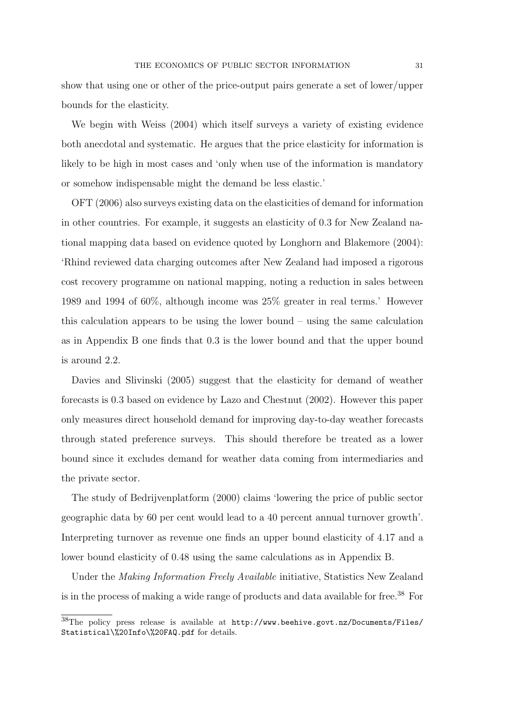show that using one or other of the price-output pairs generate a set of lower/upper bounds for the elasticity.

We begin with Weiss (2004) which itself surveys a variety of existing evidence both anecdotal and systematic. He argues that the price elasticity for information is likely to be high in most cases and 'only when use of the information is mandatory or somehow indispensable might the demand be less elastic.'

OFT (2006) also surveys existing data on the elasticities of demand for information in other countries. For example, it suggests an elasticity of 0.3 for New Zealand national mapping data based on evidence quoted by Longhorn and Blakemore (2004): 'Rhind reviewed data charging outcomes after New Zealand had imposed a rigorous cost recovery programme on national mapping, noting a reduction in sales between 1989 and 1994 of 60%, although income was 25% greater in real terms.' However this calculation appears to be using the lower bound – using the same calculation as in Appendix B one finds that 0.3 is the lower bound and that the upper bound is around 2.2.

Davies and Slivinski (2005) suggest that the elasticity for demand of weather forecasts is 0.3 based on evidence by Lazo and Chestnut (2002). However this paper only measures direct household demand for improving day-to-day weather forecasts through stated preference surveys. This should therefore be treated as a lower bound since it excludes demand for weather data coming from intermediaries and the private sector.

The study of Bedrijvenplatform (2000) claims 'lowering the price of public sector geographic data by 60 per cent would lead to a 40 percent annual turnover growth'. Interpreting turnover as revenue one finds an upper bound elasticity of 4.17 and a lower bound elasticity of 0.48 using the same calculations as in Appendix B.

Under the Making Information Freely Available initiative, Statistics New Zealand is in the process of making a wide range of products and data available for free.<sup>38</sup> For

<sup>38</sup>The policy press release is available at http://www.beehive.govt.nz/Documents/Files/ Statistical\%20Info\%20FAQ.pdf for details.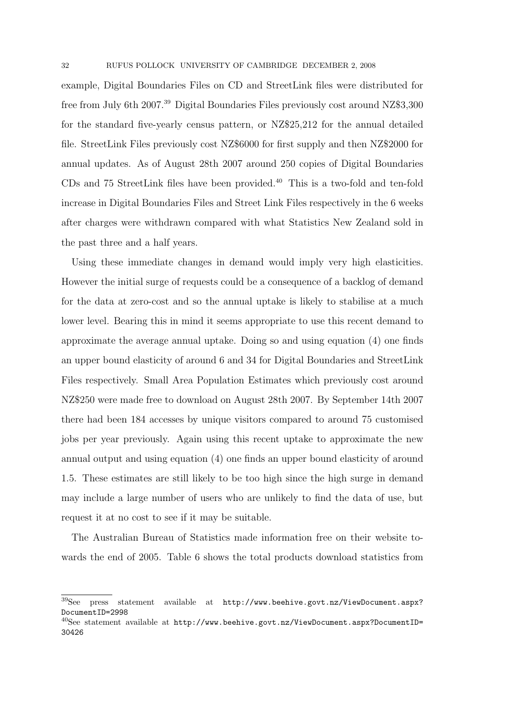example, Digital Boundaries Files on CD and StreetLink files were distributed for free from July 6th 2007.<sup>39</sup> Digital Boundaries Files previously cost around NZ\$3,300 for the standard five-yearly census pattern, or NZ\$25,212 for the annual detailed file. StreetLink Files previously cost NZ\$6000 for first supply and then NZ\$2000 for annual updates. As of August 28th 2007 around 250 copies of Digital Boundaries CDs and 75 StreetLink files have been provided.<sup>40</sup> This is a two-fold and ten-fold increase in Digital Boundaries Files and Street Link Files respectively in the 6 weeks after charges were withdrawn compared with what Statistics New Zealand sold in the past three and a half years.

Using these immediate changes in demand would imply very high elasticities. However the initial surge of requests could be a consequence of a backlog of demand for the data at zero-cost and so the annual uptake is likely to stabilise at a much lower level. Bearing this in mind it seems appropriate to use this recent demand to approximate the average annual uptake. Doing so and using equation (4) one finds an upper bound elasticity of around 6 and 34 for Digital Boundaries and StreetLink Files respectively. Small Area Population Estimates which previously cost around NZ\$250 were made free to download on August 28th 2007. By September 14th 2007 there had been 184 accesses by unique visitors compared to around 75 customised jobs per year previously. Again using this recent uptake to approximate the new annual output and using equation (4) one finds an upper bound elasticity of around 1.5. These estimates are still likely to be too high since the high surge in demand may include a large number of users who are unlikely to find the data of use, but request it at no cost to see if it may be suitable.

The Australian Bureau of Statistics made information free on their website towards the end of 2005. Table 6 shows the total products download statistics from

<sup>&</sup>lt;sup>39</sup>See press statement available at http://www.beehive.govt.nz/ViewDocument.aspx? DocumentID=2998

 $^{40}$ See statement available at http://www.beehive.govt.nz/ViewDocument.aspx?DocumentID= 30426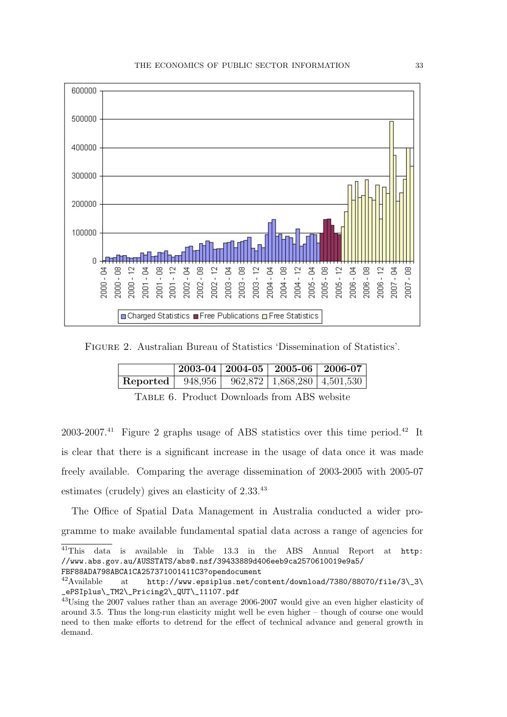

Figure 2. Australian Bureau of Statistics 'Dissemination of Statistics'.

|                         |  | $2003 - 04   2004 - 05   2005 - 06   2006 - 07  $ |
|-------------------------|--|---------------------------------------------------|
| <b>Reported</b> 948,956 |  | $962,872$ 1,868,280 4,501,530                     |

|  |  |  | TABLE 6. Product Downloads from ABS website |  |  |
|--|--|--|---------------------------------------------|--|--|
|--|--|--|---------------------------------------------|--|--|

2003-2007.<sup>41</sup> Figure 2 graphs usage of ABS statistics over this time period.<sup>42</sup> It is clear that there is a significant increase in the usage of data once it was made freely available. Comparing the average dissemination of 2003-2005 with 2005-07 estimates (crudely) gives an elasticity of 2.33.<sup>43</sup>

The Office of Spatial Data Management in Australia conducted a wider programme to make available fundamental spatial data across a range of agencies for

<sup>41</sup>This data is available in Table 13.3 in the ABS Annual Report at http: //www.abs.gov.au/AUSSTATS/abs@.nsf/39433889d406eeb9ca2570610019e9a5/ FBF88ADA798ABCA1CA257371001411C3?opendocument

 $^{42}$ Available at http://www.epsiplus.net/content/download/7380/88070/file/3\\_3\ \_ePSIplus\\_TM2\\_Pricing2\\_QUT\\_11107.pdf

<sup>43</sup>Using the 2007 values rather than an average 2006-2007 would give an even higher elasticity of around 3.5. Thus the long-run elasticity might well be even higher – though of course one would need to then make efforts to detrend for the effect of technical advance and general growth in demand.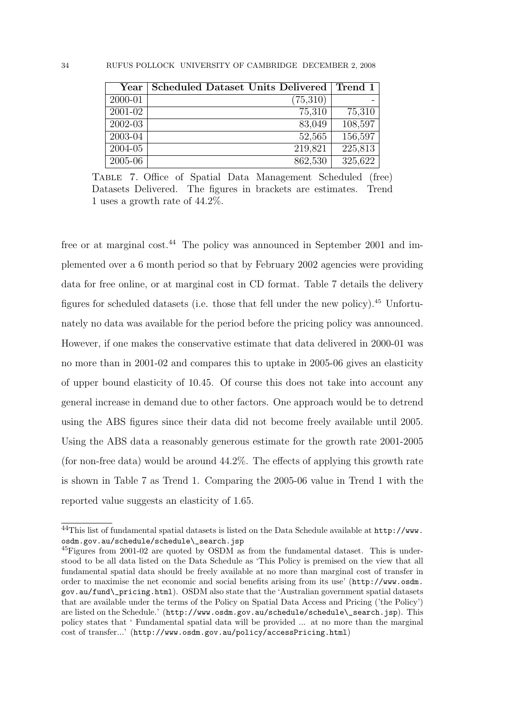| $\operatorname{Year}$ | Scheduled Dataset Units Delivered | Trend 1 |
|-----------------------|-----------------------------------|---------|
| 2000-01               | (75,310)                          |         |
| 2001-02               | 75,310                            | 75,310  |
| 2002-03               | 83,049                            | 108,597 |
| 2003-04               | 52,565                            | 156,597 |
| 2004-05               | 219,821                           | 225,813 |
| 2005-06               | 862,530                           | 325,622 |

Table 7. Office of Spatial Data Management Scheduled (free) Datasets Delivered. The figures in brackets are estimates. Trend 1 uses a growth rate of 44.2%.

free or at marginal cost.<sup>44</sup> The policy was announced in September 2001 and implemented over a 6 month period so that by February 2002 agencies were providing data for free online, or at marginal cost in CD format. Table 7 details the delivery figures for scheduled datasets (i.e. those that fell under the new policy).<sup>45</sup> Unfortunately no data was available for the period before the pricing policy was announced. However, if one makes the conservative estimate that data delivered in 2000-01 was no more than in 2001-02 and compares this to uptake in 2005-06 gives an elasticity of upper bound elasticity of 10.45. Of course this does not take into account any general increase in demand due to other factors. One approach would be to detrend using the ABS figures since their data did not become freely available until 2005. Using the ABS data a reasonably generous estimate for the growth rate 2001-2005 (for non-free data) would be around 44.2%. The effects of applying this growth rate is shown in Table 7 as Trend 1. Comparing the 2005-06 value in Trend 1 with the reported value suggests an elasticity of 1.65.

<sup>44</sup>This list of fundamental spatial datasets is listed on the Data Schedule available at http://www. osdm.gov.au/schedule/schedule\ search.jsp

 $^{45}$ Figures from 2001-02 are quoted by OSDM as from the fundamental dataset. This is understood to be all data listed on the Data Schedule as 'This Policy is premised on the view that all fundamental spatial data should be freely available at no more than marginal cost of transfer in order to maximise the net economic and social benefits arising from its use' (http://www.osdm. gov.au/fund\\_pricing.html). OSDM also state that the 'Australian government spatial datasets that are available under the terms of the Policy on Spatial Data Access and Pricing ('the Policy') are listed on the Schedule.' (http://www.osdm.gov.au/schedule/schedule\search.jsp). This policy states that ' Fundamental spatial data will be provided ... at no more than the marginal cost of transfer...' (http://www.osdm.gov.au/policy/accessPricing.html)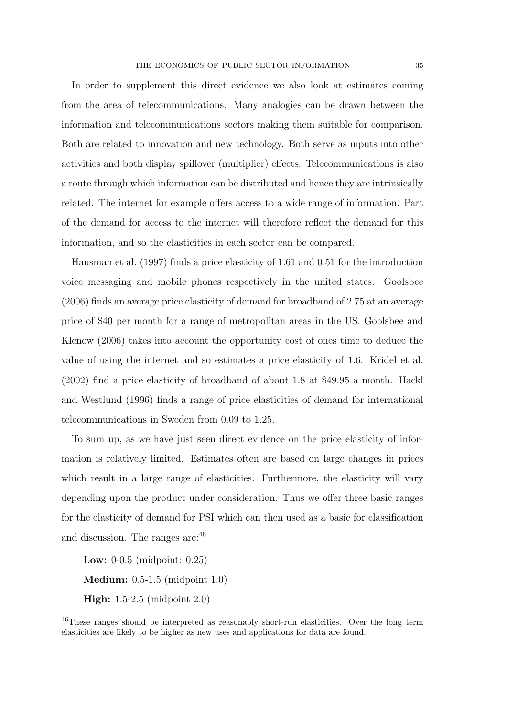In order to supplement this direct evidence we also look at estimates coming from the area of telecommunications. Many analogies can be drawn between the information and telecommunications sectors making them suitable for comparison. Both are related to innovation and new technology. Both serve as inputs into other activities and both display spillover (multiplier) effects. Telecommunications is also a route through which information can be distributed and hence they are intrinsically related. The internet for example offers access to a wide range of information. Part of the demand for access to the internet will therefore reflect the demand for this information, and so the elasticities in each sector can be compared.

Hausman et al. (1997) finds a price elasticity of 1.61 and 0.51 for the introduction voice messaging and mobile phones respectively in the united states. Goolsbee (2006) finds an average price elasticity of demand for broadband of 2.75 at an average price of \$40 per month for a range of metropolitan areas in the US. Goolsbee and Klenow (2006) takes into account the opportunity cost of ones time to deduce the value of using the internet and so estimates a price elasticity of 1.6. Kridel et al. (2002) find a price elasticity of broadband of about 1.8 at \$49.95 a month. Hackl and Westlund (1996) finds a range of price elasticities of demand for international telecommunications in Sweden from 0.09 to 1.25.

To sum up, as we have just seen direct evidence on the price elasticity of information is relatively limited. Estimates often are based on large changes in prices which result in a large range of elasticities. Furthermore, the elasticity will vary depending upon the product under consideration. Thus we offer three basic ranges for the elasticity of demand for PSI which can then used as a basic for classification and discussion. The ranges are:  $46$ 

Low: 0-0.5 (midpoint: 0.25) Medium: 0.5-1.5 (midpoint 1.0) High: 1.5-2.5 (midpoint 2.0)

<sup>46</sup>These ranges should be interpreted as reasonably short-run elasticities. Over the long term elasticities are likely to be higher as new uses and applications for data are found.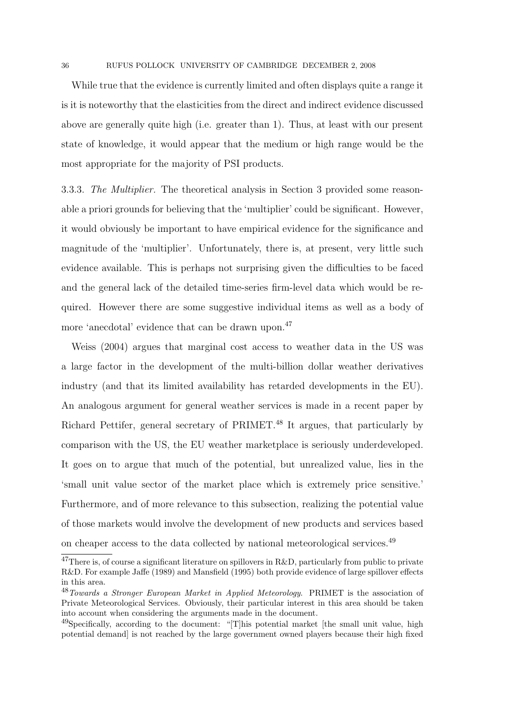While true that the evidence is currently limited and often displays quite a range it is it is noteworthy that the elasticities from the direct and indirect evidence discussed above are generally quite high (i.e. greater than 1). Thus, at least with our present state of knowledge, it would appear that the medium or high range would be the most appropriate for the majority of PSI products.

3.3.3. The Multiplier. The theoretical analysis in Section 3 provided some reasonable a priori grounds for believing that the 'multiplier' could be significant. However, it would obviously be important to have empirical evidence for the significance and magnitude of the 'multiplier'. Unfortunately, there is, at present, very little such evidence available. This is perhaps not surprising given the difficulties to be faced and the general lack of the detailed time-series firm-level data which would be required. However there are some suggestive individual items as well as a body of more 'anecdotal' evidence that can be drawn upon.<sup>47</sup>

Weiss (2004) argues that marginal cost access to weather data in the US was a large factor in the development of the multi-billion dollar weather derivatives industry (and that its limited availability has retarded developments in the EU). An analogous argument for general weather services is made in a recent paper by Richard Pettifer, general secretary of PRIMET<sup>48</sup> It argues, that particularly by comparison with the US, the EU weather marketplace is seriously underdeveloped. It goes on to argue that much of the potential, but unrealized value, lies in the 'small unit value sector of the market place which is extremely price sensitive.' Furthermore, and of more relevance to this subsection, realizing the potential value of those markets would involve the development of new products and services based on cheaper access to the data collected by national meteorological services.<sup>49</sup>

<sup>&</sup>lt;sup>47</sup>There is, of course a significant literature on spillovers in R&D, particularly from public to private R&D. For example Jaffe (1989) and Mansfield (1995) both provide evidence of large spillover effects in this area.

<sup>48</sup>Towards a Stronger European Market in Applied Meteorology. PRIMET is the association of Private Meteorological Services. Obviously, their particular interest in this area should be taken into account when considering the arguments made in the document.

 $^{49}$ Specifically, according to the document: "[T]his potential market [the small unit value, high potential demand] is not reached by the large government owned players because their high fixed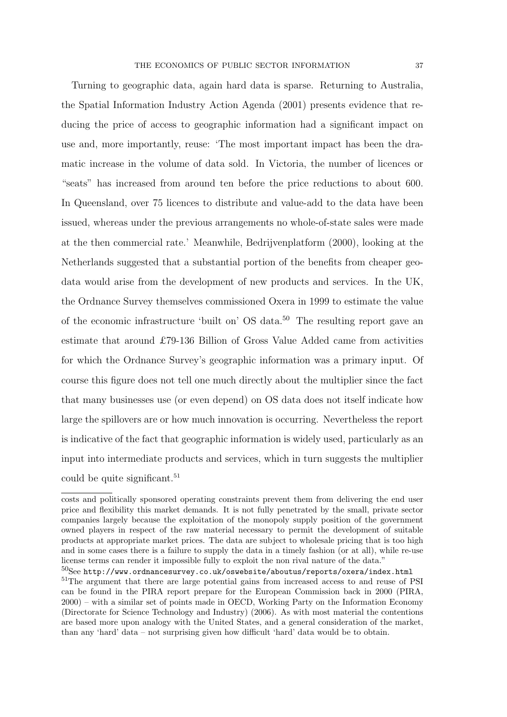Turning to geographic data, again hard data is sparse. Returning to Australia, the Spatial Information Industry Action Agenda (2001) presents evidence that reducing the price of access to geographic information had a significant impact on use and, more importantly, reuse: 'The most important impact has been the dramatic increase in the volume of data sold. In Victoria, the number of licences or "seats" has increased from around ten before the price reductions to about 600. In Queensland, over 75 licences to distribute and value-add to the data have been issued, whereas under the previous arrangements no whole-of-state sales were made at the then commercial rate.' Meanwhile, Bedrijvenplatform (2000), looking at the Netherlands suggested that a substantial portion of the benefits from cheaper geodata would arise from the development of new products and services. In the UK, the Ordnance Survey themselves commissioned Oxera in 1999 to estimate the value of the economic infrastructure 'built on' OS data.<sup>50</sup> The resulting report gave an estimate that around £79-136 Billion of Gross Value Added came from activities for which the Ordnance Survey's geographic information was a primary input. Of course this figure does not tell one much directly about the multiplier since the fact that many businesses use (or even depend) on OS data does not itself indicate how large the spillovers are or how much innovation is occurring. Nevertheless the report is indicative of the fact that geographic information is widely used, particularly as an input into intermediate products and services, which in turn suggests the multiplier could be quite significant.<sup>51</sup>

costs and politically sponsored operating constraints prevent them from delivering the end user price and flexibility this market demands. It is not fully penetrated by the small, private sector companies largely because the exploitation of the monopoly supply position of the government owned players in respect of the raw material necessary to permit the development of suitable products at appropriate market prices. The data are subject to wholesale pricing that is too high and in some cases there is a failure to supply the data in a timely fashion (or at all), while re-use license terms can render it impossible fully to exploit the non rival nature of the data."

 $50$ See http://www.ordnancesurvey.co.uk/oswebsite/aboutus/reports/oxera/index.html

<sup>&</sup>lt;sup>51</sup>The argument that there are large potential gains from increased access to and reuse of PSI can be found in the PIRA report prepare for the European Commission back in 2000 (PIRA, 2000) – with a similar set of points made in OECD, Working Party on the Information Economy (Directorate for Science Technology and Industry) (2006). As with most material the contentions are based more upon analogy with the United States, and a general consideration of the market, than any 'hard' data – not surprising given how difficult 'hard' data would be to obtain.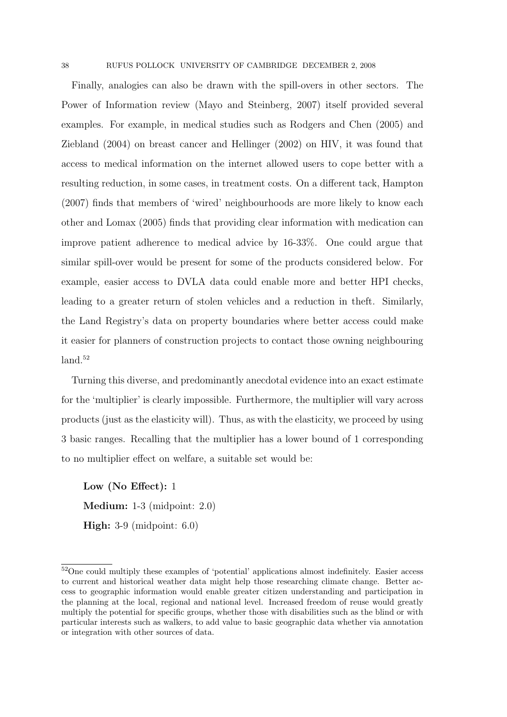Finally, analogies can also be drawn with the spill-overs in other sectors. The Power of Information review (Mayo and Steinberg, 2007) itself provided several examples. For example, in medical studies such as Rodgers and Chen (2005) and Ziebland (2004) on breast cancer and Hellinger (2002) on HIV, it was found that access to medical information on the internet allowed users to cope better with a resulting reduction, in some cases, in treatment costs. On a different tack, Hampton (2007) finds that members of 'wired' neighbourhoods are more likely to know each other and Lomax (2005) finds that providing clear information with medication can improve patient adherence to medical advice by 16-33%. One could argue that similar spill-over would be present for some of the products considered below. For example, easier access to DVLA data could enable more and better HPI checks, leading to a greater return of stolen vehicles and a reduction in theft. Similarly, the Land Registry's data on property boundaries where better access could make it easier for planners of construction projects to contact those owning neighbouring land.<sup>52</sup>

Turning this diverse, and predominantly anecdotal evidence into an exact estimate for the 'multiplier' is clearly impossible. Furthermore, the multiplier will vary across products (just as the elasticity will). Thus, as with the elasticity, we proceed by using 3 basic ranges. Recalling that the multiplier has a lower bound of 1 corresponding to no multiplier effect on welfare, a suitable set would be:

Low (No Effect): 1 Medium: 1-3 (midpoint: 2.0) High: 3-9 (midpoint: 6.0)

<sup>&</sup>lt;sup>52</sup>One could multiply these examples of 'potential' applications almost indefinitely. Easier access to current and historical weather data might help those researching climate change. Better access to geographic information would enable greater citizen understanding and participation in the planning at the local, regional and national level. Increased freedom of reuse would greatly multiply the potential for specific groups, whether those with disabilities such as the blind or with particular interests such as walkers, to add value to basic geographic data whether via annotation or integration with other sources of data.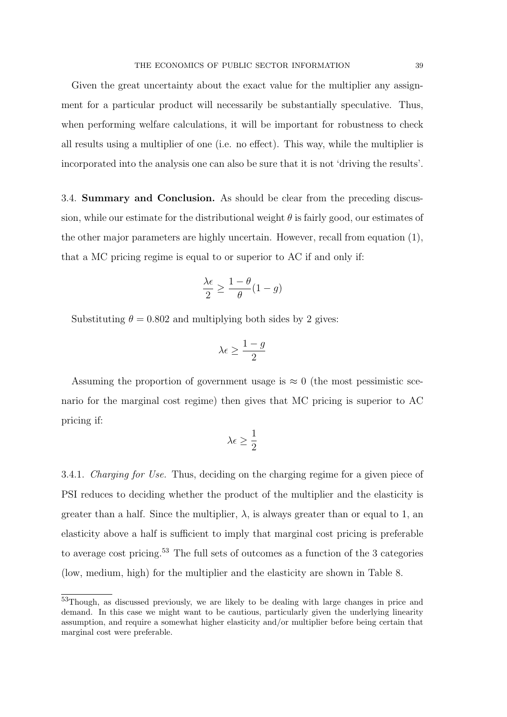Given the great uncertainty about the exact value for the multiplier any assignment for a particular product will necessarily be substantially speculative. Thus, when performing welfare calculations, it will be important for robustness to check all results using a multiplier of one (i.e. no effect). This way, while the multiplier is incorporated into the analysis one can also be sure that it is not 'driving the results'.

3.4. Summary and Conclusion. As should be clear from the preceding discussion, while our estimate for the distributional weight  $\theta$  is fairly good, our estimates of the other major parameters are highly uncertain. However, recall from equation (1), that a MC pricing regime is equal to or superior to AC if and only if:

$$
\frac{\lambda \epsilon}{2} \ge \frac{1-\theta}{\theta}(1-g)
$$

Substituting  $\theta = 0.802$  and multiplying both sides by 2 gives:

$$
\lambda\epsilon\geq \frac{1-g}{2}
$$

Assuming the proportion of government usage is  $\approx 0$  (the most pessimistic scenario for the marginal cost regime) then gives that MC pricing is superior to AC pricing if:

$$
\lambda\epsilon\geq\frac{1}{2}
$$

3.4.1. Charging for Use. Thus, deciding on the charging regime for a given piece of PSI reduces to deciding whether the product of the multiplier and the elasticity is greater than a half. Since the multiplier,  $\lambda$ , is always greater than or equal to 1, an elasticity above a half is sufficient to imply that marginal cost pricing is preferable to average cost pricing.<sup>53</sup> The full sets of outcomes as a function of the 3 categories (low, medium, high) for the multiplier and the elasticity are shown in Table 8.

<sup>53</sup>Though, as discussed previously, we are likely to be dealing with large changes in price and demand. In this case we might want to be cautious, particularly given the underlying linearity assumption, and require a somewhat higher elasticity and/or multiplier before being certain that marginal cost were preferable.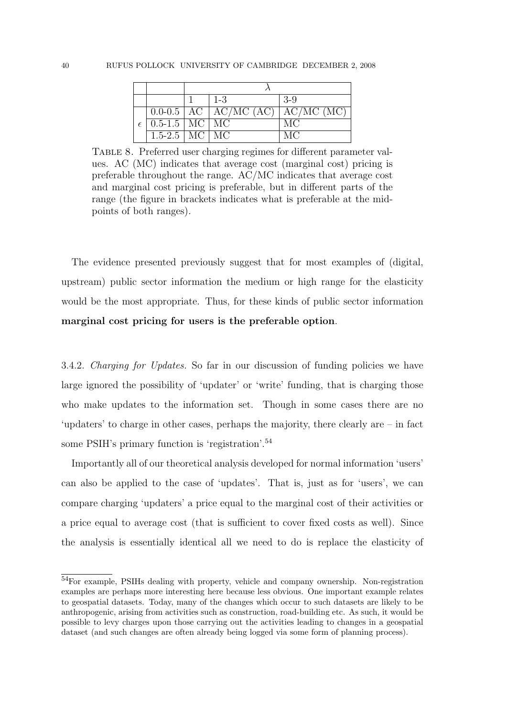|                                              |  | $1 - 3$                                  | $3-9$ |
|----------------------------------------------|--|------------------------------------------|-------|
|                                              |  | $0.0-0.5$   AC   AC/MC (AC)   AC/MC (MC) |       |
| $\epsilon$   0.5-1.5   MC $\sqrt{\text{MC}}$ |  |                                          | MC    |
| $1.5-2.5$   MC   MC                          |  |                                          | MC    |

Table 8. Preferred user charging regimes for different parameter values. AC (MC) indicates that average cost (marginal cost) pricing is preferable throughout the range. AC/MC indicates that average cost and marginal cost pricing is preferable, but in different parts of the range (the figure in brackets indicates what is preferable at the midpoints of both ranges).

The evidence presented previously suggest that for most examples of (digital, upstream) public sector information the medium or high range for the elasticity would be the most appropriate. Thus, for these kinds of public sector information marginal cost pricing for users is the preferable option.

3.4.2. Charging for Updates. So far in our discussion of funding policies we have large ignored the possibility of 'updater' or 'write' funding, that is charging those who make updates to the information set. Though in some cases there are no 'updaters' to charge in other cases, perhaps the majority, there clearly are – in fact some PSIH's primary function is 'registration'.<sup>54</sup>

Importantly all of our theoretical analysis developed for normal information 'users' can also be applied to the case of 'updates'. That is, just as for 'users', we can compare charging 'updaters' a price equal to the marginal cost of their activities or a price equal to average cost (that is sufficient to cover fixed costs as well). Since the analysis is essentially identical all we need to do is replace the elasticity of

<sup>54</sup>For example, PSIHs dealing with property, vehicle and company ownership. Non-registration examples are perhaps more interesting here because less obvious. One important example relates to geospatial datasets. Today, many of the changes which occur to such datasets are likely to be anthropogenic, arising from activities such as construction, road-building etc. As such, it would be possible to levy charges upon those carrying out the activities leading to changes in a geospatial dataset (and such changes are often already being logged via some form of planning process).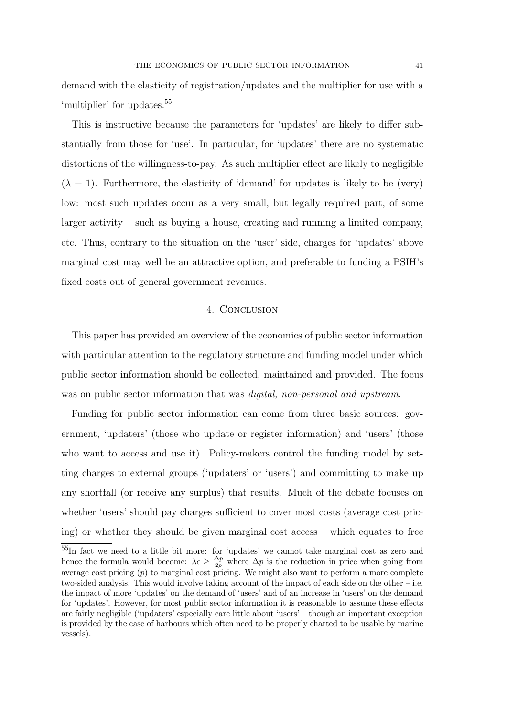demand with the elasticity of registration/updates and the multiplier for use with a 'multiplier' for updates.<sup>55</sup>

This is instructive because the parameters for 'updates' are likely to differ substantially from those for 'use'. In particular, for 'updates' there are no systematic distortions of the willingness-to-pay. As such multiplier effect are likely to negligible  $(\lambda = 1)$ . Furthermore, the elasticity of 'demand' for updates is likely to be (very) low: most such updates occur as a very small, but legally required part, of some larger activity – such as buying a house, creating and running a limited company, etc. Thus, contrary to the situation on the 'user' side, charges for 'updates' above marginal cost may well be an attractive option, and preferable to funding a PSIH's fixed costs out of general government revenues.

### 4. Conclusion

This paper has provided an overview of the economics of public sector information with particular attention to the regulatory structure and funding model under which public sector information should be collected, maintained and provided. The focus was on public sector information that was *digital*, non-personal and upstream.

Funding for public sector information can come from three basic sources: government, 'updaters' (those who update or register information) and 'users' (those who want to access and use it). Policy-makers control the funding model by setting charges to external groups ('updaters' or 'users') and committing to make up any shortfall (or receive any surplus) that results. Much of the debate focuses on whether 'users' should pay charges sufficient to cover most costs (average cost pricing) or whether they should be given marginal cost access – which equates to free

<sup>55</sup>In fact we need to a little bit more: for 'updates' we cannot take marginal cost as zero and hence the formula would become:  $\lambda \epsilon \geq \frac{\Delta p}{2p}$  where  $\Delta p$  is the reduction in price when going from average cost pricing  $(p)$  to marginal cost pricing. We might also want to perform a more complete two-sided analysis. This would involve taking account of the impact of each side on the other – i.e. the impact of more 'updates' on the demand of 'users' and of an increase in 'users' on the demand for 'updates'. However, for most public sector information it is reasonable to assume these effects are fairly negligible ('updaters' especially care little about 'users' – though an important exception is provided by the case of harbours which often need to be properly charted to be usable by marine vessels).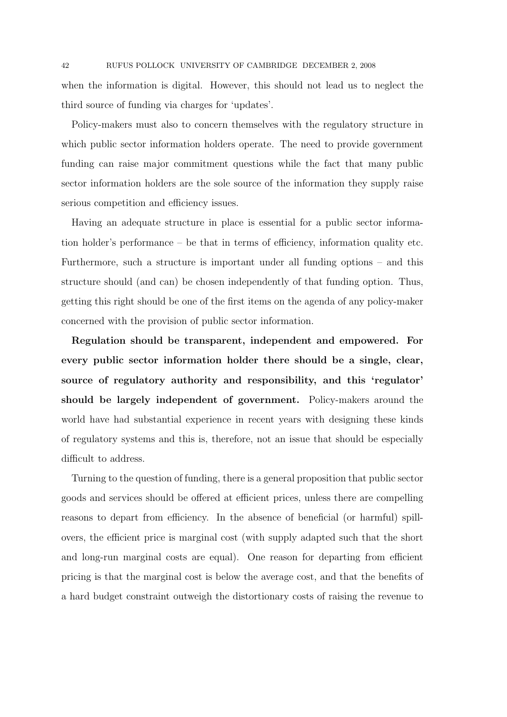when the information is digital. However, this should not lead us to neglect the third source of funding via charges for 'updates'.

Policy-makers must also to concern themselves with the regulatory structure in which public sector information holders operate. The need to provide government funding can raise major commitment questions while the fact that many public sector information holders are the sole source of the information they supply raise serious competition and efficiency issues.

Having an adequate structure in place is essential for a public sector information holder's performance – be that in terms of efficiency, information quality etc. Furthermore, such a structure is important under all funding options – and this structure should (and can) be chosen independently of that funding option. Thus, getting this right should be one of the first items on the agenda of any policy-maker concerned with the provision of public sector information.

Regulation should be transparent, independent and empowered. For every public sector information holder there should be a single, clear, source of regulatory authority and responsibility, and this 'regulator' should be largely independent of government. Policy-makers around the world have had substantial experience in recent years with designing these kinds of regulatory systems and this is, therefore, not an issue that should be especially difficult to address.

Turning to the question of funding, there is a general proposition that public sector goods and services should be offered at efficient prices, unless there are compelling reasons to depart from efficiency. In the absence of beneficial (or harmful) spillovers, the efficient price is marginal cost (with supply adapted such that the short and long-run marginal costs are equal). One reason for departing from efficient pricing is that the marginal cost is below the average cost, and that the benefits of a hard budget constraint outweigh the distortionary costs of raising the revenue to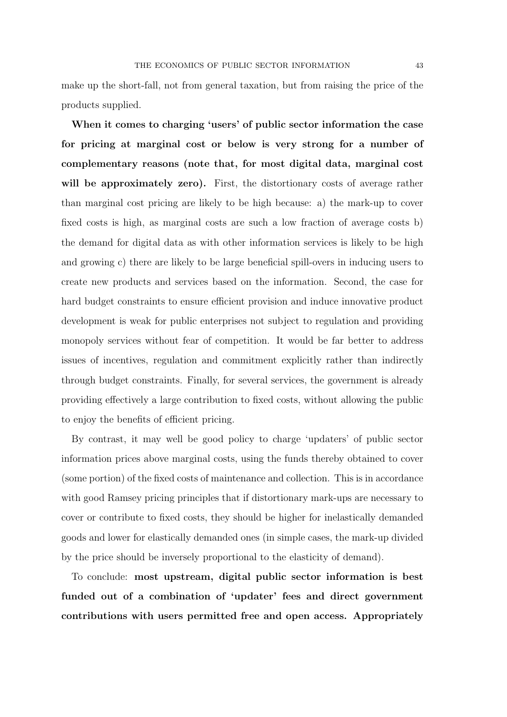make up the short-fall, not from general taxation, but from raising the price of the products supplied.

When it comes to charging 'users' of public sector information the case for pricing at marginal cost or below is very strong for a number of complementary reasons (note that, for most digital data, marginal cost will be approximately zero). First, the distortionary costs of average rather than marginal cost pricing are likely to be high because: a) the mark-up to cover fixed costs is high, as marginal costs are such a low fraction of average costs b) the demand for digital data as with other information services is likely to be high and growing c) there are likely to be large beneficial spill-overs in inducing users to create new products and services based on the information. Second, the case for hard budget constraints to ensure efficient provision and induce innovative product development is weak for public enterprises not subject to regulation and providing monopoly services without fear of competition. It would be far better to address issues of incentives, regulation and commitment explicitly rather than indirectly through budget constraints. Finally, for several services, the government is already providing effectively a large contribution to fixed costs, without allowing the public to enjoy the benefits of efficient pricing.

By contrast, it may well be good policy to charge 'updaters' of public sector information prices above marginal costs, using the funds thereby obtained to cover (some portion) of the fixed costs of maintenance and collection. This is in accordance with good Ramsey pricing principles that if distortionary mark-ups are necessary to cover or contribute to fixed costs, they should be higher for inelastically demanded goods and lower for elastically demanded ones (in simple cases, the mark-up divided by the price should be inversely proportional to the elasticity of demand).

To conclude: most upstream, digital public sector information is best funded out of a combination of 'updater' fees and direct government contributions with users permitted free and open access. Appropriately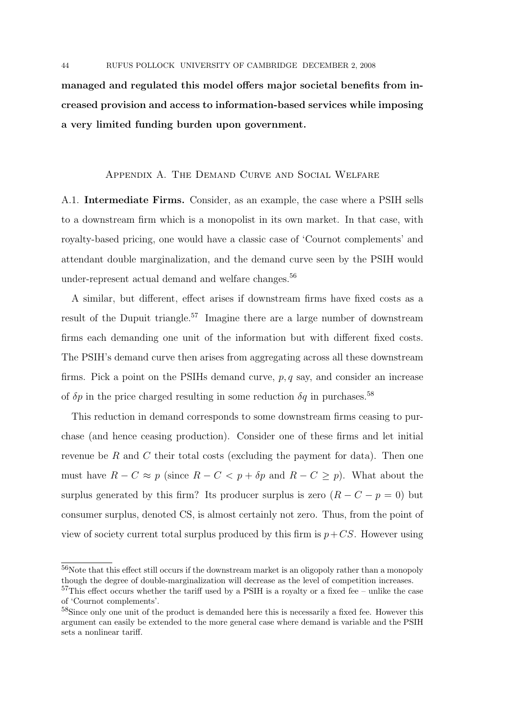managed and regulated this model offers major societal benefits from increased provision and access to information-based services while imposing a very limited funding burden upon government.

# Appendix A. The Demand Curve and Social Welfare

A.1. Intermediate Firms. Consider, as an example, the case where a PSIH sells to a downstream firm which is a monopolist in its own market. In that case, with royalty-based pricing, one would have a classic case of 'Cournot complements' and attendant double marginalization, and the demand curve seen by the PSIH would under-represent actual demand and welfare changes.<sup>56</sup>

A similar, but different, effect arises if downstream firms have fixed costs as a result of the Dupuit triangle.<sup>57</sup> Imagine there are a large number of downstream firms each demanding one unit of the information but with different fixed costs. The PSIH's demand curve then arises from aggregating across all these downstream firms. Pick a point on the PSIHs demand curve,  $p, q$  say, and consider an increase of  $\delta p$  in the price charged resulting in some reduction  $\delta q$  in purchases.  $^{58}$ 

This reduction in demand corresponds to some downstream firms ceasing to purchase (and hence ceasing production). Consider one of these firms and let initial revenue be R and C their total costs (excluding the payment for data). Then one must have  $R - C \approx p$  (since  $R - C < p + \delta p$  and  $R - C \geq p$ ). What about the surplus generated by this firm? Its producer surplus is zero  $(R - C - p = 0)$  but consumer surplus, denoted CS, is almost certainly not zero. Thus, from the point of view of society current total surplus produced by this firm is  $p+CS$ . However using

 $^{56}\rm{Note}$  that this effect still occurs if the downstream market is an oligopoly rather than a monopoly though the degree of double-marginalization will decrease as the level of competition increases.

 $57$ This effect occurs whether the tariff used by a PSIH is a royalty or a fixed fee – unlike the case of 'Cournot complements'.

<sup>58</sup>Since only one unit of the product is demanded here this is necessarily a fixed fee. However this argument can easily be extended to the more general case where demand is variable and the PSIH sets a nonlinear tariff.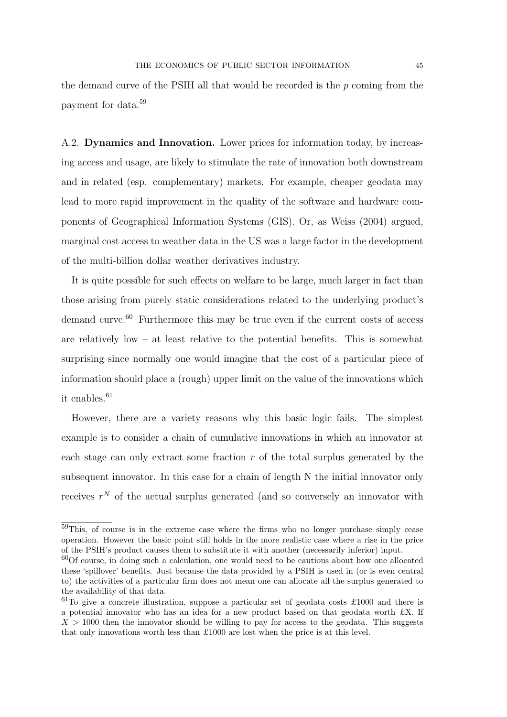the demand curve of the PSIH all that would be recorded is the  $p$  coming from the payment for data.<sup>59</sup>

A.2. Dynamics and Innovation. Lower prices for information today, by increasing access and usage, are likely to stimulate the rate of innovation both downstream and in related (esp. complementary) markets. For example, cheaper geodata may lead to more rapid improvement in the quality of the software and hardware components of Geographical Information Systems (GIS). Or, as Weiss (2004) argued, marginal cost access to weather data in the US was a large factor in the development of the multi-billion dollar weather derivatives industry.

It is quite possible for such effects on welfare to be large, much larger in fact than those arising from purely static considerations related to the underlying product's demand curve.<sup>60</sup> Furthermore this may be true even if the current costs of access are relatively low – at least relative to the potential benefits. This is somewhat surprising since normally one would imagine that the cost of a particular piece of information should place a (rough) upper limit on the value of the innovations which it enables.<sup>61</sup>

However, there are a variety reasons why this basic logic fails. The simplest example is to consider a chain of cumulative innovations in which an innovator at each stage can only extract some fraction r of the total surplus generated by the subsequent innovator. In this case for a chain of length N the initial innovator only receives  $r^N$  of the actual surplus generated (and so conversely an innovator with

<sup>59</sup>This, of course is in the extreme case where the firms who no longer purchase simply cease operation. However the basic point still holds in the more realistic case where a rise in the price of the PSIH's product causes them to substitute it with another (necessarily inferior) input.

 $60$  course, in doing such a calculation, one would need to be cautious about how one allocated these 'spillover' benefits. Just because the data provided by a PSIH is used in (or is even central to) the activities of a particular firm does not mean one can allocate all the surplus generated to the availability of that data.

 ${}^{61}$ To give a concrete illustration, suppose a particular set of geodata costs £1000 and there is a potential innovator who has an idea for a new product based on that geodata worth  $\pounds X$ . If  $X > 1000$  then the innovator should be willing to pay for access to the geodata. This suggests that only innovations worth less than £1000 are lost when the price is at this level.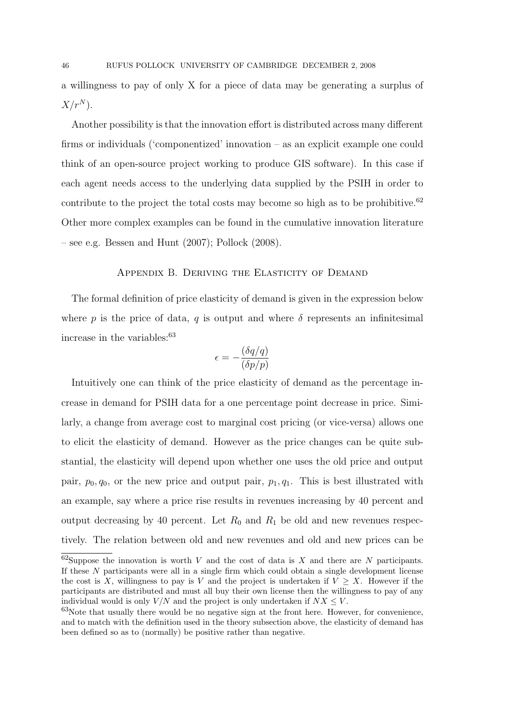a willingness to pay of only X for a piece of data may be generating a surplus of  $X/r^N$ ).

Another possibility is that the innovation effort is distributed across many different firms or individuals ('componentized' innovation – as an explicit example one could think of an open-source project working to produce GIS software). In this case if each agent needs access to the underlying data supplied by the PSIH in order to contribute to the project the total costs may become so high as to be prohibitive.<sup>62</sup> Other more complex examples can be found in the cumulative innovation literature – see e.g. Bessen and Hunt  $(2007)$ ; Pollock  $(2008)$ .

### APPENDIX B. DERIVING THE ELASTICITY OF DEMAND

The formal definition of price elasticity of demand is given in the expression below where p is the price of data, q is output and where  $\delta$  represents an infinitesimal increase in the variables: $63$ 

$$
\epsilon = -\frac{(\delta q/q)}{(\delta p/p)}
$$

Intuitively one can think of the price elasticity of demand as the percentage increase in demand for PSIH data for a one percentage point decrease in price. Similarly, a change from average cost to marginal cost pricing (or vice-versa) allows one to elicit the elasticity of demand. However as the price changes can be quite substantial, the elasticity will depend upon whether one uses the old price and output pair,  $p_0, q_0$ , or the new price and output pair,  $p_1, q_1$ . This is best illustrated with an example, say where a price rise results in revenues increasing by 40 percent and output decreasing by 40 percent. Let  $R_0$  and  $R_1$  be old and new revenues respectively. The relation between old and new revenues and old and new prices can be

 $62$ Suppose the innovation is worth V and the cost of data is X and there are N participants. If these N participants were all in a single firm which could obtain a single development license the cost is X, willingness to pay is V and the project is undertaken if  $V \geq X$ . However if the participants are distributed and must all buy their own license then the willingness to pay of any individual would is only  $V/N$  and the project is only undertaken if  $NX \leq V$ .

 $63$ Note that usually there would be no negative sign at the front here. However, for convenience, and to match with the definition used in the theory subsection above, the elasticity of demand has been defined so as to (normally) be positive rather than negative.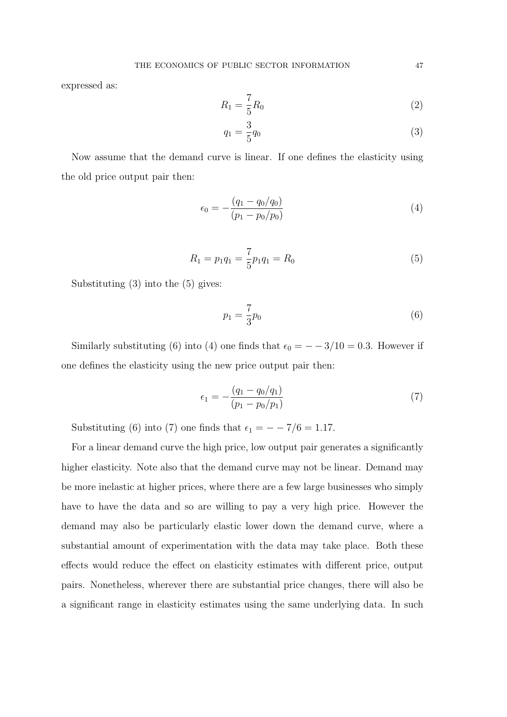expressed as:

$$
R_1 = \frac{7}{5}R_0
$$
 (2)

$$
q_1 = \frac{3}{5}q_0 \tag{3}
$$

Now assume that the demand curve is linear. If one defines the elasticity using the old price output pair then:

$$
\epsilon_0 = -\frac{(q_1 - q_0/q_0)}{(p_1 - p_0/p_0)}\tag{4}
$$

$$
R_1 = p_1 q_1 = \frac{7}{5} p_1 q_1 = R_0 \tag{5}
$$

Substituting (3) into the (5) gives:

$$
p_1 = \frac{7}{3}p_0 \tag{6}
$$

Similarly substituting (6) into (4) one finds that  $\epsilon_0 = - -3/10 = 0.3$ . However if one defines the elasticity using the new price output pair then:

$$
\epsilon_1 = -\frac{(q_1 - q_0/q_1)}{(p_1 - p_0/p_1)}\tag{7}
$$

Substituting (6) into (7) one finds that  $\epsilon_1 = -7/6 = 1.17$ .

For a linear demand curve the high price, low output pair generates a significantly higher elasticity. Note also that the demand curve may not be linear. Demand may be more inelastic at higher prices, where there are a few large businesses who simply have to have the data and so are willing to pay a very high price. However the demand may also be particularly elastic lower down the demand curve, where a substantial amount of experimentation with the data may take place. Both these effects would reduce the effect on elasticity estimates with different price, output pairs. Nonetheless, wherever there are substantial price changes, there will also be a significant range in elasticity estimates using the same underlying data. In such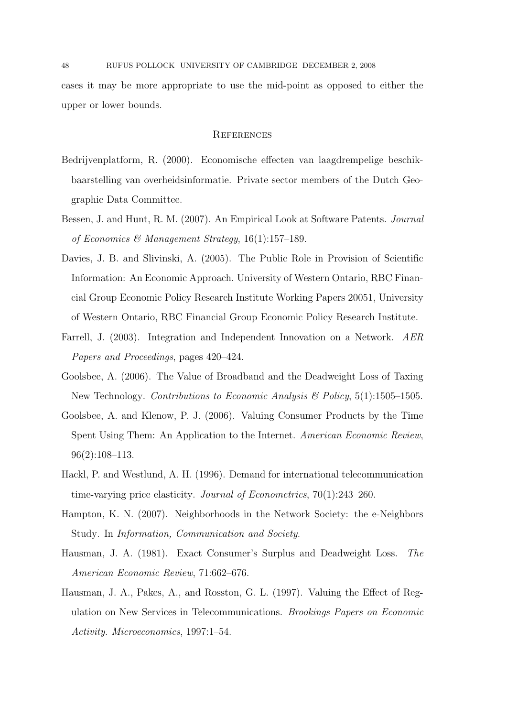cases it may be more appropriate to use the mid-point as opposed to either the upper or lower bounds.

### **REFERENCES**

- Bedrijvenplatform, R. (2000). Economische effecten van laagdrempelige beschikbaarstelling van overheidsinformatie. Private sector members of the Dutch Geographic Data Committee.
- Bessen, J. and Hunt, R. M. (2007). An Empirical Look at Software Patents. Journal of Economics & Management Strategy,  $16(1):157-189$ .
- Davies, J. B. and Slivinski, A. (2005). The Public Role in Provision of Scientific Information: An Economic Approach. University of Western Ontario, RBC Financial Group Economic Policy Research Institute Working Papers 20051, University of Western Ontario, RBC Financial Group Economic Policy Research Institute.
- Farrell, J. (2003). Integration and Independent Innovation on a Network. AER Papers and Proceedings, pages 420–424.
- Goolsbee, A. (2006). The Value of Broadband and the Deadweight Loss of Taxing New Technology. Contributions to Economic Analysis  $\mathcal B$  Policy, 5(1):1505–1505.
- Goolsbee, A. and Klenow, P. J. (2006). Valuing Consumer Products by the Time Spent Using Them: An Application to the Internet. American Economic Review, 96(2):108–113.
- Hackl, P. and Westlund, A. H. (1996). Demand for international telecommunication time-varying price elasticity. Journal of Econometrics, 70(1):243–260.
- Hampton, K. N. (2007). Neighborhoods in the Network Society: the e-Neighbors Study. In Information, Communication and Society.
- Hausman, J. A. (1981). Exact Consumer's Surplus and Deadweight Loss. The American Economic Review, 71:662–676.
- Hausman, J. A., Pakes, A., and Rosston, G. L. (1997). Valuing the Effect of Regulation on New Services in Telecommunications. Brookings Papers on Economic Activity. Microeconomics, 1997:1–54.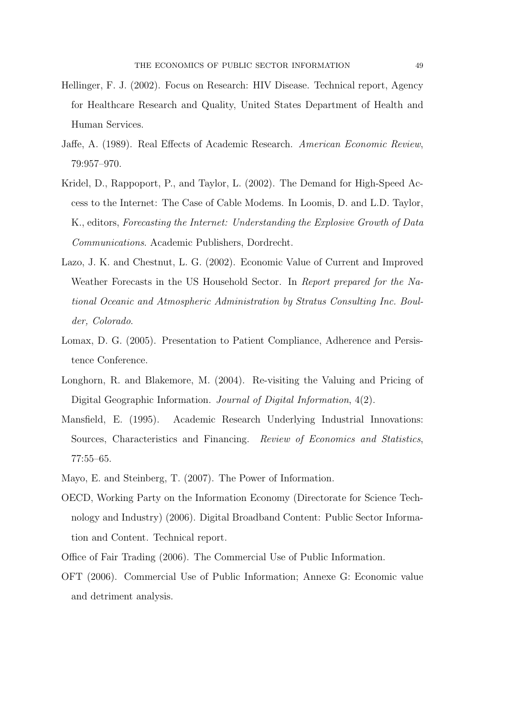- Hellinger, F. J. (2002). Focus on Research: HIV Disease. Technical report, Agency for Healthcare Research and Quality, United States Department of Health and Human Services.
- Jaffe, A. (1989). Real Effects of Academic Research. American Economic Review, 79:957–970.
- Kridel, D., Rappoport, P., and Taylor, L. (2002). The Demand for High-Speed Access to the Internet: The Case of Cable Modems. In Loomis, D. and L.D. Taylor, K., editors, Forecasting the Internet: Understanding the Explosive Growth of Data Communications. Academic Publishers, Dordrecht.
- Lazo, J. K. and Chestnut, L. G. (2002). Economic Value of Current and Improved Weather Forecasts in the US Household Sector. In Report prepared for the National Oceanic and Atmospheric Administration by Stratus Consulting Inc. Boulder, Colorado.
- Lomax, D. G. (2005). Presentation to Patient Compliance, Adherence and Persistence Conference.
- Longhorn, R. and Blakemore, M. (2004). Re-visiting the Valuing and Pricing of Digital Geographic Information. *Journal of Digital Information*,  $4(2)$ .
- Mansfield, E. (1995). Academic Research Underlying Industrial Innovations: Sources, Characteristics and Financing. Review of Economics and Statistics, 77:55–65.
- Mayo, E. and Steinberg, T. (2007). The Power of Information.
- OECD, Working Party on the Information Economy (Directorate for Science Technology and Industry) (2006). Digital Broadband Content: Public Sector Information and Content. Technical report.
- Office of Fair Trading (2006). The Commercial Use of Public Information.
- OFT (2006). Commercial Use of Public Information; Annexe G: Economic value and detriment analysis.